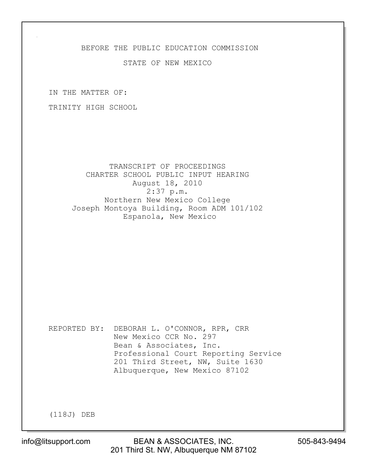## BEFORE THE PUBLIC EDUCATION COMMISSION

## STATE OF NEW MEXICO

IN THE MATTER OF:

TRINITY HIGH SCHOOL

 TRANSCRIPT OF PROCEEDINGS CHARTER SCHOOL PUBLIC INPUT HEARING August 18, 2010 2:37 p.m. Northern New Mexico College Joseph Montoya Building, Room ADM 101/102 Espanola, New Mexico

REPORTED BY: DEBORAH L. O'CONNOR, RPR, CRR New Mexico CCR No. 297 Bean & Associates, Inc. Professional Court Reporting Service 201 Third Street, NW, Suite 1630 Albuquerque, New Mexico 87102

(118J) DEB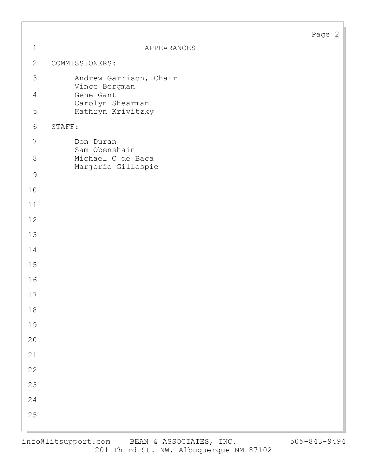|--|--|

|        | $\mathbf 1$      | APPEARANCES                             | Page |
|--------|------------------|-----------------------------------------|------|
|        | $\mathbf{2}$     | COMMISSIONERS:                          |      |
|        | $\mathfrak{Z}$   |                                         |      |
|        |                  | Andrew Garrison, Chair<br>Vince Bergman |      |
|        | $\overline{4}$   | Gene Gant<br>Carolyn Shearman           |      |
|        | $\mathsf S$      | Kathryn Krivitzky                       |      |
|        | 6<br>STAFF:      |                                         |      |
|        | $\boldsymbol{7}$ | Don Duran<br>Sam Obenshain              |      |
|        | $8\,$            | Michael C de Baca                       |      |
|        | $\mathcal{G}$    | Marjorie Gillespie                      |      |
| 10     |                  |                                         |      |
| 11     |                  |                                         |      |
| 12     |                  |                                         |      |
| 13     |                  |                                         |      |
| 14     |                  |                                         |      |
| 15     |                  |                                         |      |
| 16     |                  |                                         |      |
| 17     |                  |                                         |      |
| $18\,$ |                  |                                         |      |
| 19     |                  |                                         |      |
| $20$   |                  |                                         |      |
| 21     |                  |                                         |      |
| 22     |                  |                                         |      |
| 23     |                  |                                         |      |
| 24     |                  |                                         |      |
| 25     |                  |                                         |      |
|        |                  |                                         |      |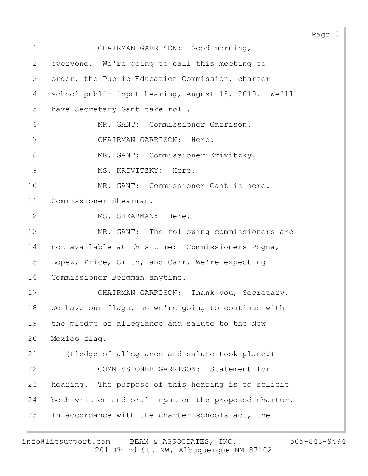Page 3 1 CHAIRMAN GARRISON: Good morning, 2 everyone. We're going to call this meeting to 3 order, the Public Education Commission, charter 4 school public input hearing, August 18, 2010. We'll 5 have Secretary Gant take roll. 6 MR. GANT: Commissioner Garrison. 7 CHAIRMAN GARRISON: Here. 8 MR. GANT: Commissioner Krivitzky. 9 MS. KRIVITZKY: Here. 10 MR. GANT: Commissioner Gant is here. 11 Commissioner Shearman. 12 MS. SHEARMAN: Here. 13 MR. GANT: The following commissioners are 14 not available at this time: Commissioners Pogna, 15 Lopez, Price, Smith, and Carr. We're expecting 16 Commissioner Bergman anytime. 17 CHAIRMAN GARRISON: Thank you, Secretary. 18 We have our flags, so we're going to continue with 19 the pledge of allegiance and salute to the New 20 Mexico flag. 21 (Pledge of allegiance and salute took place.) 22 COMMISSIONER GARRISON: Statement for 23 hearing. The purpose of this hearing is to solicit 24 both written and oral input on the proposed charter. 25 In accordance with the charter schools act, the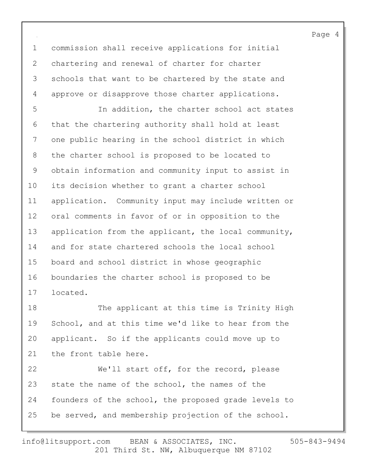1 commission shall receive applications for initial 2 chartering and renewal of charter for charter 3 schools that want to be chartered by the state and 4 approve or disapprove those charter applications.

5 In addition, the charter school act states 6 that the chartering authority shall hold at least 7 one public hearing in the school district in which 8 the charter school is proposed to be located to 9 obtain information and community input to assist in 10 its decision whether to grant a charter school 11 application. Community input may include written or 12 oral comments in favor of or in opposition to the 13 application from the applicant, the local community, 14 and for state chartered schools the local school 15 board and school district in whose geographic 16 boundaries the charter school is proposed to be 17 located.

18 The applicant at this time is Trinity High 19 School, and at this time we'd like to hear from the 20 applicant. So if the applicants could move up to 21 the front table here.

22 We'll start off, for the record, please 23 state the name of the school, the names of the 24 founders of the school, the proposed grade levels to 25 be served, and membership projection of the school.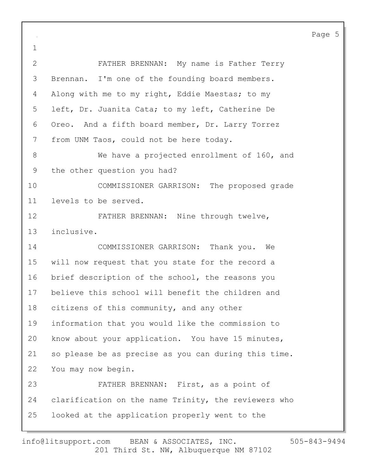Page 5 1 2 FATHER BRENNAN: My name is Father Terry 3 Brennan. I'm one of the founding board members. 4 Along with me to my right, Eddie Maestas; to my 5 left, Dr. Juanita Cata; to my left, Catherine De 6 Oreo. And a fifth board member, Dr. Larry Torrez 7 from UNM Taos, could not be here today. 8 We have a projected enrollment of 160, and 9 the other question you had? 10 COMMISSIONER GARRISON: The proposed grade 11 levels to be served. 12 FATHER BRENNAN: Nine through twelve, 13 inclusive. 14 COMMISSIONER GARRISON: Thank you. We 15 will now request that you state for the record a 16 brief description of the school, the reasons you 17 believe this school will benefit the children and 18 citizens of this community, and any other 19 information that you would like the commission to 20 know about your application. You have 15 minutes, 21 so please be as precise as you can during this time. 22 You may now begin. 23 FATHER BRENNAN: First, as a point of 24 clarification on the name Trinity, the reviewers who 25 looked at the application properly went to the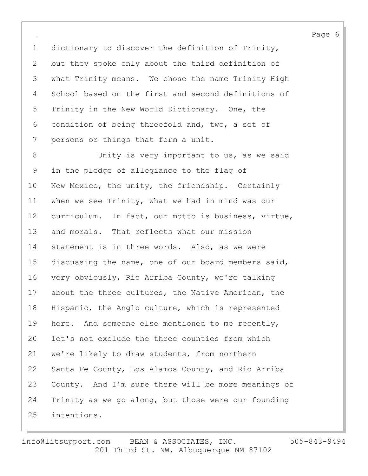1 dictionary to discover the definition of Trinity, 2 but they spoke only about the third definition of 3 what Trinity means. We chose the name Trinity High 4 School based on the first and second definitions of 5 Trinity in the New World Dictionary. One, the 6 condition of being threefold and, two, a set of 7 persons or things that form a unit.

8 Unity is very important to us, as we said 9 in the pledge of allegiance to the flag of 10 New Mexico, the unity, the friendship. Certainly 11 when we see Trinity, what we had in mind was our 12 curriculum. In fact, our motto is business, virtue, 13 and morals. That reflects what our mission 14 statement is in three words. Also, as we were 15 discussing the name, one of our board members said, 16 very obviously, Rio Arriba County, we're talking 17 about the three cultures, the Native American, the 18 Hispanic, the Anglo culture, which is represented 19 here. And someone else mentioned to me recently, 20 let's not exclude the three counties from which 21 we're likely to draw students, from northern 22 Santa Fe County, Los Alamos County, and Rio Arriba 23 County. And I'm sure there will be more meanings of 24 Trinity as we go along, but those were our founding 25 intentions.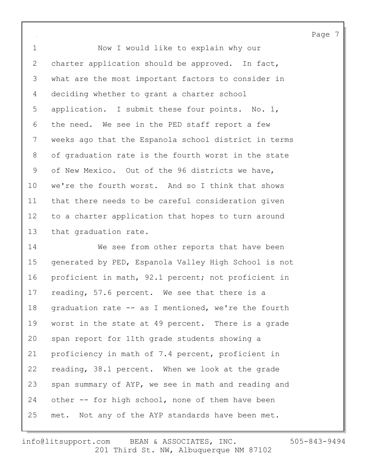1 Now I would like to explain why our 2 charter application should be approved. In fact, 3 what are the most important factors to consider in 4 deciding whether to grant a charter school 5 application. I submit these four points. No. 1, 6 the need. We see in the PED staff report a few 7 weeks ago that the Espanola school district in terms 8 of graduation rate is the fourth worst in the state 9 of New Mexico. Out of the 96 districts we have, 10 we're the fourth worst. And so I think that shows 11 that there needs to be careful consideration given 12 to a charter application that hopes to turn around 13 that graduation rate.

14 We see from other reports that have been 15 generated by PED, Espanola Valley High School is not 16 proficient in math, 92.1 percent; not proficient in 17 reading, 57.6 percent. We see that there is a 18 graduation rate -- as I mentioned, we're the fourth 19 worst in the state at 49 percent. There is a grade 20 span report for 11th grade students showing a 21 proficiency in math of 7.4 percent, proficient in 22 reading, 38.1 percent. When we look at the grade 23 span summary of AYP, we see in math and reading and 24 other -- for high school, none of them have been 25 met. Not any of the AYP standards have been met.

201 Third St. NW, Albuquerque NM 87102 info@litsupport.com BEAN & ASSOCIATES, INC. 505-843-9494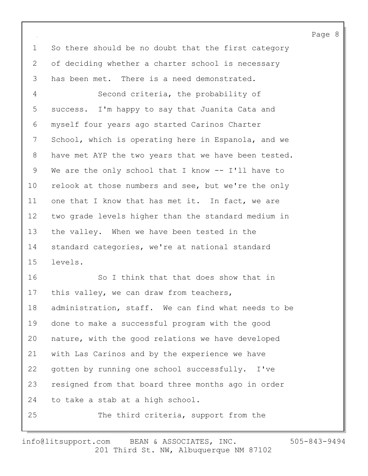1 So there should be no doubt that the first category 2 of deciding whether a charter school is necessary 3 has been met. There is a need demonstrated.

4 Second criteria, the probability of 5 success. I'm happy to say that Juanita Cata and 6 myself four years ago started Carinos Charter 7 School, which is operating here in Espanola, and we 8 have met AYP the two years that we have been tested. 9 We are the only school that I know -- I'll have to 10 relook at those numbers and see, but we're the only 11 one that I know that has met it. In fact, we are 12 two grade levels higher than the standard medium in 13 the valley. When we have been tested in the 14 standard categories, we're at national standard 15 levels.

16 So I think that that does show that in 17 this valley, we can draw from teachers, 18 administration, staff. We can find what needs to be 19 done to make a successful program with the good 20 nature, with the good relations we have developed 21 with Las Carinos and by the experience we have 22 gotten by running one school successfully. I've 23 resigned from that board three months ago in order 24 to take a stab at a high school. 25 The third criteria, support from the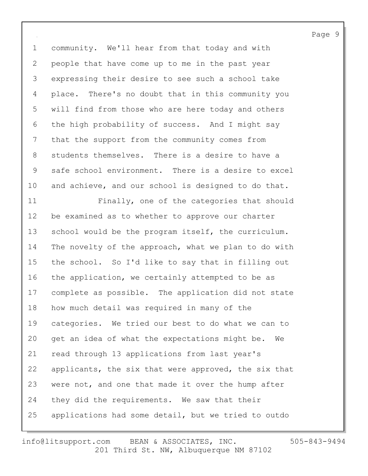1 community. We'll hear from that today and with 2 people that have come up to me in the past year 3 expressing their desire to see such a school take 4 place. There's no doubt that in this community you 5 will find from those who are here today and others 6 the high probability of success. And I might say 7 that the support from the community comes from 8 students themselves. There is a desire to have a 9 safe school environment. There is a desire to excel 10 and achieve, and our school is designed to do that.

11 Finally, one of the categories that should 12 be examined as to whether to approve our charter 13 school would be the program itself, the curriculum. 14 The novelty of the approach, what we plan to do with 15 the school. So I'd like to say that in filling out 16 the application, we certainly attempted to be as 17 complete as possible. The application did not state 18 how much detail was required in many of the 19 categories. We tried our best to do what we can to 20 get an idea of what the expectations might be. We 21 read through 13 applications from last year's 22 applicants, the six that were approved, the six that 23 were not, and one that made it over the hump after 24 they did the requirements. We saw that their 25 applications had some detail, but we tried to outdo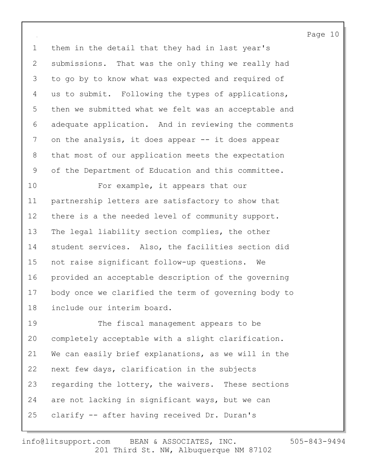1 them in the detail that they had in last year's 2 submissions. That was the only thing we really had 3 to go by to know what was expected and required of 4 us to submit. Following the types of applications, 5 then we submitted what we felt was an acceptable and 6 adequate application. And in reviewing the comments 7 on the analysis, it does appear -- it does appear 8 that most of our application meets the expectation 9 of the Department of Education and this committee.

10 For example, it appears that our 11 partnership letters are satisfactory to show that 12 there is a the needed level of community support. 13 The legal liability section complies, the other 14 student services. Also, the facilities section did 15 not raise significant follow-up questions. We 16 provided an acceptable description of the governing 17 body once we clarified the term of governing body to 18 include our interim board.

19 The fiscal management appears to be 20 completely acceptable with a slight clarification. 21 We can easily brief explanations, as we will in the 22 next few days, clarification in the subjects 23 regarding the lottery, the waivers. These sections 24 are not lacking in significant ways, but we can 25 clarify -- after having received Dr. Duran's

201 Third St. NW, Albuquerque NM 87102 info@litsupport.com BEAN & ASSOCIATES, INC. 505-843-9494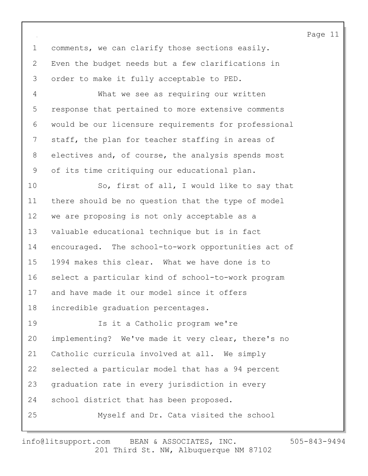1 comments, we can clarify those sections easily. 2 Even the budget needs but a few clarifications in 3 order to make it fully acceptable to PED.

4 What we see as requiring our written 5 response that pertained to more extensive comments 6 would be our licensure requirements for professional 7 staff, the plan for teacher staffing in areas of 8 electives and, of course, the analysis spends most 9 of its time critiquing our educational plan.

10 So, first of all, I would like to say that 11 there should be no question that the type of model 12 we are proposing is not only acceptable as a 13 valuable educational technique but is in fact 14 encouraged. The school-to-work opportunities act of 15 1994 makes this clear. What we have done is to 16 select a particular kind of school-to-work program 17 and have made it our model since it offers 18 incredible graduation percentages.

19 Is it a Catholic program we're 20 implementing? We've made it very clear, there's no 21 Catholic curricula involved at all. We simply 22 selected a particular model that has a 94 percent 23 graduation rate in every jurisdiction in every 24 school district that has been proposed. 25 Myself and Dr. Cata visited the school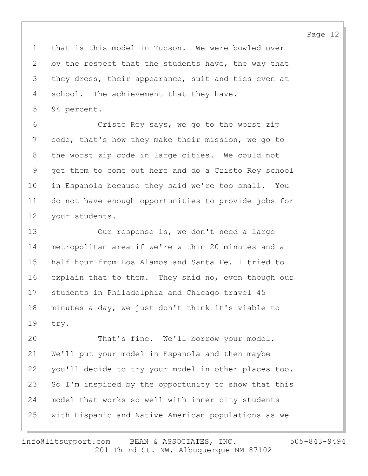1 that is this model in Tucson. We were bowled over 2 by the respect that the students have, the way that 3 they dress, their appearance, suit and ties even at 4 school. The achievement that they have. 5 94 percent.

6 Cristo Rey says, we go to the worst zip 7 code, that's how they make their mission, we go to 8 the worst zip code in large cities. We could not 9 get them to come out here and do a Cristo Rey school 10 in Espanola because they said we're too small. You 11 do not have enough opportunities to provide jobs for 12 your students.

13 Our response is, we don't need a large 14 metropolitan area if we're within 20 minutes and a 15 half hour from Los Alamos and Santa Fe. I tried to 16 explain that to them. They said no, even though our 17 students in Philadelphia and Chicago travel 45 18 minutes a day, we just don't think it's viable to 19 try.

20 That's fine. We'll borrow your model. 21 We'll put your model in Espanola and then maybe 22 you'll decide to try your model in other places too. 23 So I'm inspired by the opportunity to show that this 24 model that works so well with inner city students 25 with Hispanic and Native American populations as we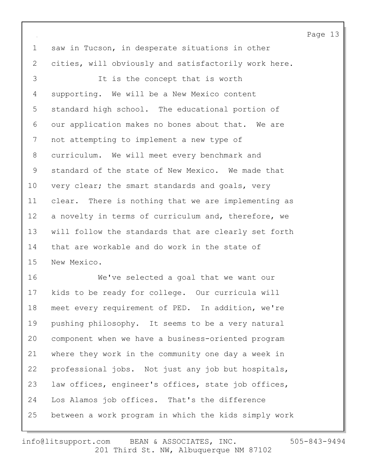1 saw in Tucson, in desperate situations in other 2 cities, will obviously and satisfactorily work here. 3 It is the concept that is worth 4 supporting. We will be a New Mexico content 5 standard high school. The educational portion of 6 our application makes no bones about that. We are 7 not attempting to implement a new type of 8 curriculum. We will meet every benchmark and 9 standard of the state of New Mexico. We made that 10 very clear; the smart standards and goals, very 11 clear. There is nothing that we are implementing as 12 a novelty in terms of curriculum and, therefore, we 13 will follow the standards that are clearly set forth 14 that are workable and do work in the state of 15 New Mexico.

16 We've selected a goal that we want our 17 kids to be ready for college. Our curricula will 18 meet every requirement of PED. In addition, we're 19 pushing philosophy. It seems to be a very natural 20 component when we have a business-oriented program 21 where they work in the community one day a week in 22 professional jobs. Not just any job but hospitals, 23 law offices, engineer's offices, state job offices, 24 Los Alamos job offices. That's the difference 25 between a work program in which the kids simply work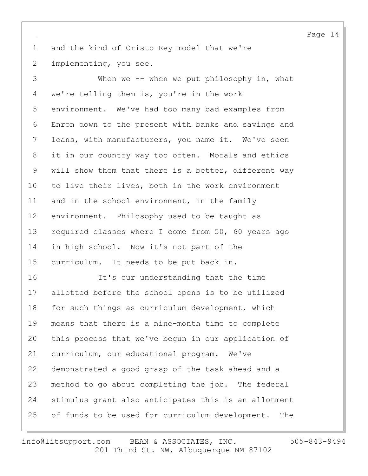1 and the kind of Cristo Rey model that we're 2 implementing, you see.

3 When we -- when we put philosophy in, what 4 we're telling them is, you're in the work 5 environment. We've had too many bad examples from 6 Enron down to the present with banks and savings and 7 loans, with manufacturers, you name it. We've seen 8 it in our country way too often. Morals and ethics 9 will show them that there is a better, different way 10 to live their lives, both in the work environment 11 and in the school environment, in the family 12 environment. Philosophy used to be taught as 13 required classes where I come from 50, 60 years ago 14 in high school. Now it's not part of the 15 curriculum. It needs to be put back in. 16 It's our understanding that the time 17 allotted before the school opens is to be utilized 18 for such things as curriculum development, which 19 means that there is a nine-month time to complete 20 this process that we've begun in our application of 21 curriculum, our educational program. We've 22 demonstrated a good grasp of the task ahead and a 23 method to go about completing the job. The federal 24 stimulus grant also anticipates this is an allotment 25 of funds to be used for curriculum development. The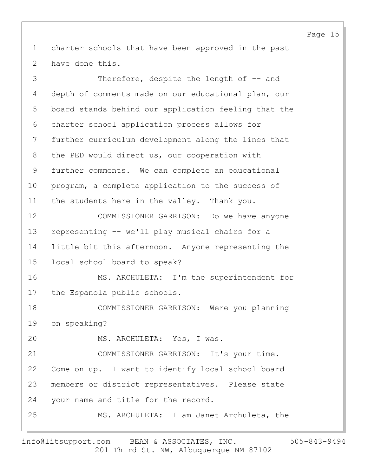1 charter schools that have been approved in the past 2 have done this.

3 Therefore, despite the length of  $-$  and 4 depth of comments made on our educational plan, our 5 board stands behind our application feeling that the 6 charter school application process allows for 7 further curriculum development along the lines that 8 the PED would direct us, our cooperation with 9 further comments. We can complete an educational 10 program, a complete application to the success of 11 the students here in the valley. Thank you. 12 COMMISSIONER GARRISON: Do we have anyone 13 representing -- we'll play musical chairs for a 14 little bit this afternoon. Anyone representing the 15 local school board to speak? 16 MS. ARCHULETA: I'm the superintendent for 17 the Espanola public schools. 18 COMMISSIONER GARRISON: Were you planning 19 on speaking? 20 MS. ARCHULETA: Yes, I was. 21 COMMISSIONER GARRISON: It's your time. 22 Come on up. I want to identify local school board 23 members or district representatives. Please state 24 your name and title for the record. 25 MS. ARCHULETA: I am Janet Archuleta, the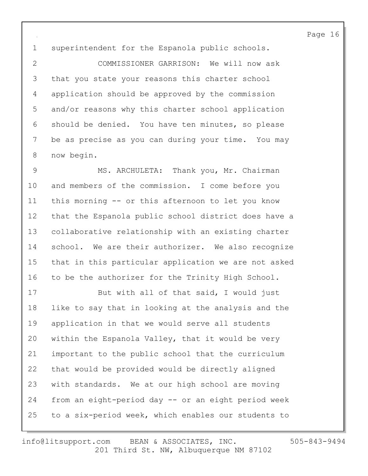1 superintendent for the Espanola public schools.

2 COMMISSIONER GARRISON: We will now ask 3 that you state your reasons this charter school 4 application should be approved by the commission 5 and/or reasons why this charter school application 6 should be denied. You have ten minutes, so please 7 be as precise as you can during your time. You may 8 now begin.

9 MS. ARCHULETA: Thank you, Mr. Chairman 10 and members of the commission. I come before you 11 this morning -- or this afternoon to let you know 12 that the Espanola public school district does have a 13 collaborative relationship with an existing charter 14 school. We are their authorizer. We also recognize 15 that in this particular application we are not asked 16 to be the authorizer for the Trinity High School.

17 But with all of that said, I would just 18 like to say that in looking at the analysis and the 19 application in that we would serve all students 20 within the Espanola Valley, that it would be very 21 important to the public school that the curriculum 22 that would be provided would be directly aligned 23 with standards. We at our high school are moving 24 from an eight-period day -- or an eight period week 25 to a six-period week, which enables our students to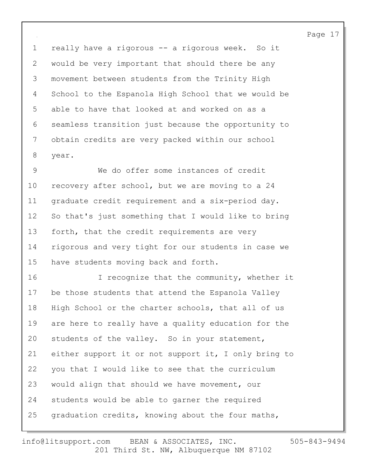1 really have a rigorous -- a rigorous week. So it 2 would be very important that should there be any 3 movement between students from the Trinity High 4 School to the Espanola High School that we would be 5 able to have that looked at and worked on as a 6 seamless transition just because the opportunity to 7 obtain credits are very packed within our school 8 year.

9 We do offer some instances of credit 10 recovery after school, but we are moving to a 24 11 graduate credit requirement and a six-period day. 12 So that's just something that I would like to bring 13 forth, that the credit requirements are very 14 rigorous and very tight for our students in case we 15 have students moving back and forth.

16 I recognize that the community, whether it 17 be those students that attend the Espanola Valley 18 High School or the charter schools, that all of us 19 are here to really have a quality education for the 20 students of the valley. So in your statement, 21 either support it or not support it, I only bring to 22 you that I would like to see that the curriculum 23 would align that should we have movement, our 24 students would be able to garner the required 25 graduation credits, knowing about the four maths,

$$
505 - 843 - 9494
$$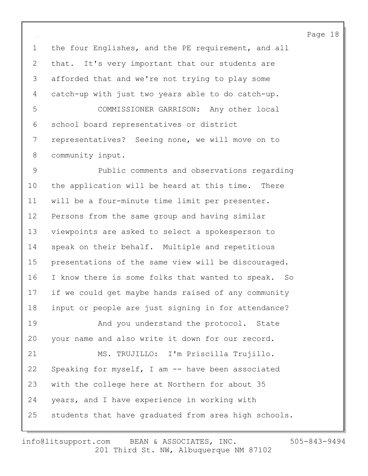1 the four Englishes, and the PE requirement, and all 2 that. It's very important that our students are 3 afforded that and we're not trying to play some 4 catch-up with just two years able to do catch-up. 5 COMMISSIONER GARRISON: Any other local 6 school board representatives or district 7 representatives? Seeing none, we will move on to 8 community input.

9 Public comments and observations regarding 10 the application will be heard at this time. There 11 will be a four-minute time limit per presenter. 12 Persons from the same group and having similar 13 viewpoints are asked to select a spokesperson to 14 speak on their behalf. Multiple and repetitious 15 presentations of the same view will be discouraged. 16 I know there is some folks that wanted to speak. So 17 if we could get maybe hands raised of any community 18 input or people are just signing in for attendance? 19 **And you understand the protocol.** State 20 your name and also write it down for our record. 21 MS. TRUJILLO: I'm Priscilla Trujillo. 22 Speaking for myself, I am -- have been associated 23 with the college here at Northern for about 35 24 years, and I have experience in working with

25 students that have graduated from area high schools.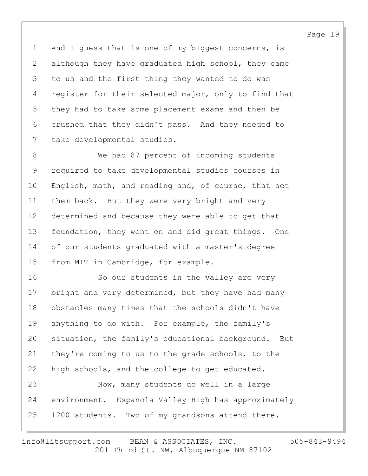1 And I guess that is one of my biggest concerns, is 2 although they have graduated high school, they came 3 to us and the first thing they wanted to do was 4 register for their selected major, only to find that 5 they had to take some placement exams and then be 6 crushed that they didn't pass. And they needed to 7 take developmental studies.

8 We had 87 percent of incoming students 9 required to take developmental studies courses in 10 English, math, and reading and, of course, that set 11 them back. But they were very bright and very 12 determined and because they were able to get that 13 foundation, they went on and did great things. One 14 of our students graduated with a master's degree 15 from MIT in Cambridge, for example.

16 So our students in the valley are very 17 bright and very determined, but they have had many 18 obstacles many times that the schools didn't have 19 anything to do with. For example, the family's 20 situation, the family's educational background. But 21 they're coming to us to the grade schools, to the 22 high schools, and the college to get educated. 23 Now, many students do well in a large 24 environment. Espanola Valley High has approximately 25 1200 students. Two of my grandsons attend there.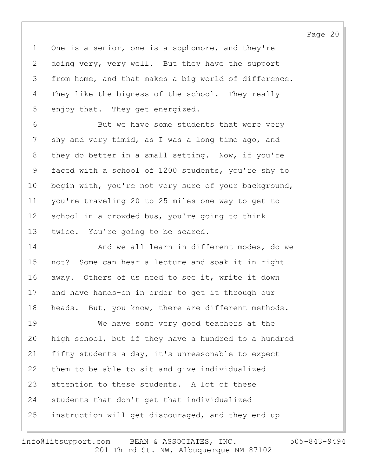1 One is a senior, one is a sophomore, and they're 2 doing very, very well. But they have the support 3 from home, and that makes a big world of difference. 4 They like the bigness of the school. They really 5 enjoy that. They get energized.

6 But we have some students that were very 7 shy and very timid, as I was a long time ago, and 8 they do better in a small setting. Now, if you're 9 faced with a school of 1200 students, you're shy to 10 begin with, you're not very sure of your background, 11 you're traveling 20 to 25 miles one way to get to 12 school in a crowded bus, you're going to think 13 twice. You're going to be scared.

14 And we all learn in different modes, do we 15 not? Some can hear a lecture and soak it in right 16 away. Others of us need to see it, write it down 17 and have hands-on in order to get it through our 18 heads. But, you know, there are different methods.

19 We have some very good teachers at the 20 high school, but if they have a hundred to a hundred 21 fifty students a day, it's unreasonable to expect 22 them to be able to sit and give individualized 23 attention to these students. A lot of these 24 students that don't get that individualized 25 instruction will get discouraged, and they end up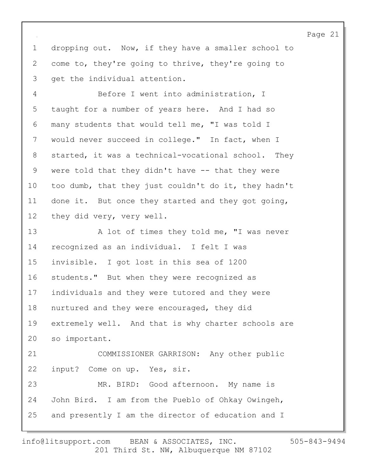1 dropping out. Now, if they have a smaller school to 2 come to, they're going to thrive, they're going to 3 get the individual attention.

4 Before I went into administration, I 5 taught for a number of years here. And I had so 6 many students that would tell me, "I was told I 7 would never succeed in college." In fact, when I 8 started, it was a technical-vocational school. They 9 were told that they didn't have -- that they were 10 too dumb, that they just couldn't do it, they hadn't 11 done it. But once they started and they got going, 12 they did very, very well.

13 A lot of times they told me, "I was never 14 recognized as an individual. I felt I was 15 invisible. I got lost in this sea of 1200 16 students." But when they were recognized as 17 individuals and they were tutored and they were 18 nurtured and they were encouraged, they did 19 extremely well. And that is why charter schools are 20 so important. 21 COMMISSIONER GARRISON: Any other public 22 input? Come on up. Yes, sir. 23 MR. BIRD: Good afternoon. My name is 24 John Bird. I am from the Pueblo of Ohkay Owingeh, 25 and presently I am the director of education and I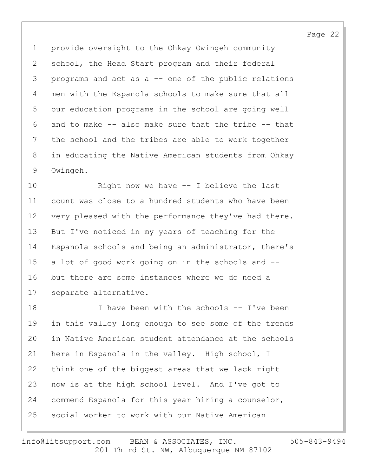1 provide oversight to the Ohkay Owingeh community 2 school, the Head Start program and their federal 3 programs and act as a -- one of the public relations 4 men with the Espanola schools to make sure that all 5 our education programs in the school are going well 6 and to make -- also make sure that the tribe -- that 7 the school and the tribes are able to work together 8 in educating the Native American students from Ohkay 9 Owingeh.

10 Right now we have -- I believe the last 11 count was close to a hundred students who have been 12 very pleased with the performance they've had there. 13 But I've noticed in my years of teaching for the 14 Espanola schools and being an administrator, there's 15 a lot of good work going on in the schools and -- 16 but there are some instances where we do need a 17 separate alternative.

18 I have been with the schools -- I've been 19 in this valley long enough to see some of the trends 20 in Native American student attendance at the schools 21 here in Espanola in the valley. High school, I 22 think one of the biggest areas that we lack right 23 now is at the high school level. And I've got to 24 commend Espanola for this year hiring a counselor, 25 social worker to work with our Native American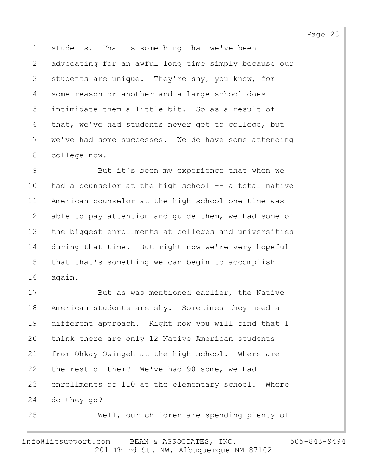1 students. That is something that we've been 2 advocating for an awful long time simply because our 3 students are unique. They're shy, you know, for 4 some reason or another and a large school does 5 intimidate them a little bit. So as a result of 6 that, we've had students never get to college, but 7 we've had some successes. We do have some attending 8 college now.

9 But it's been my experience that when we 10 had a counselor at the high school -- a total native 11 American counselor at the high school one time was 12 able to pay attention and quide them, we had some of 13 the biggest enrollments at colleges and universities 14 during that time. But right now we're very hopeful 15 that that's something we can begin to accomplish 16 again.

17 But as was mentioned earlier, the Native 18 American students are shy. Sometimes they need a 19 different approach. Right now you will find that I 20 think there are only 12 Native American students 21 from Ohkay Owingeh at the high school. Where are 22 the rest of them? We've had 90-some, we had 23 enrollments of 110 at the elementary school. Where 24 do they go? 25 Well, our children are spending plenty of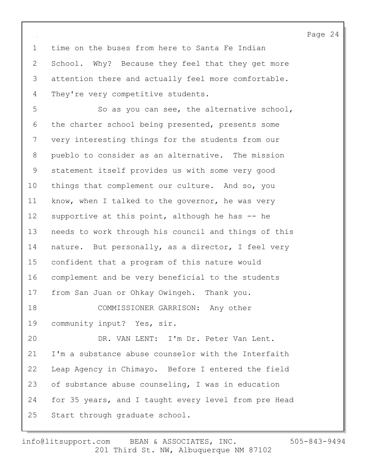1 time on the buses from here to Santa Fe Indian 2 School. Why? Because they feel that they get more 3 attention there and actually feel more comfortable. 4 They're very competitive students.

5 So as you can see, the alternative school, 6 the charter school being presented, presents some 7 very interesting things for the students from our 8 pueblo to consider as an alternative. The mission 9 statement itself provides us with some very good 10 things that complement our culture. And so, you 11 know, when I talked to the governor, he was very 12 supportive at this point, although he has -- he 13 needs to work through his council and things of this 14 nature. But personally, as a director, I feel very 15 confident that a program of this nature would 16 complement and be very beneficial to the students 17 from San Juan or Ohkay Owingeh. Thank you. 18 COMMISSIONER GARRISON: Any other 19 community input? Yes, sir. 20 DR. VAN LENT: I'm Dr. Peter Van Lent. 21 I'm a substance abuse counselor with the Interfaith 22 Leap Agency in Chimayo. Before I entered the field 23 of substance abuse counseling, I was in education 24 for 35 years, and I taught every level from pre Head 25 Start through graduate school.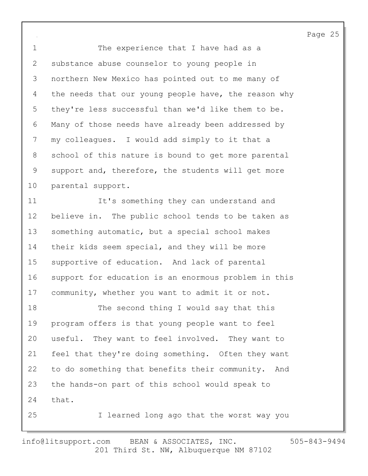1 The experience that I have had as a 2 substance abuse counselor to young people in 3 northern New Mexico has pointed out to me many of 4 the needs that our young people have, the reason why 5 they're less successful than we'd like them to be. 6 Many of those needs have already been addressed by 7 my colleagues. I would add simply to it that a 8 school of this nature is bound to get more parental 9 support and, therefore, the students will get more 10 parental support.

11 It's something they can understand and 12 believe in. The public school tends to be taken as 13 something automatic, but a special school makes 14 their kids seem special, and they will be more 15 supportive of education. And lack of parental 16 support for education is an enormous problem in this 17 community, whether you want to admit it or not.

18 The second thing I would say that this 19 program offers is that young people want to feel 20 useful. They want to feel involved. They want to 21 feel that they're doing something. Often they want 22 to do something that benefits their community. And 23 the hands-on part of this school would speak to 24 that.

25 I learned long ago that the worst way you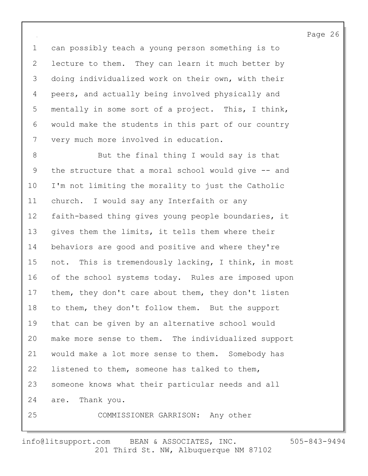1 can possibly teach a young person something is to 2 lecture to them. They can learn it much better by 3 doing individualized work on their own, with their 4 peers, and actually being involved physically and 5 mentally in some sort of a project. This, I think, 6 would make the students in this part of our country 7 very much more involved in education.

8 But the final thing I would say is that 9 the structure that a moral school would give -- and 10 I'm not limiting the morality to just the Catholic 11 church. I would say any Interfaith or any 12 faith-based thing gives young people boundaries, it 13 gives them the limits, it tells them where their 14 behaviors are good and positive and where they're 15 not. This is tremendously lacking, I think, in most 16 of the school systems today. Rules are imposed upon 17 them, they don't care about them, they don't listen 18 to them, they don't follow them. But the support 19 that can be given by an alternative school would 20 make more sense to them. The individualized support 21 would make a lot more sense to them. Somebody has 22 listened to them, someone has talked to them, 23 someone knows what their particular needs and all 24 are. Thank you. 25 COMMISSIONER GARRISON: Any other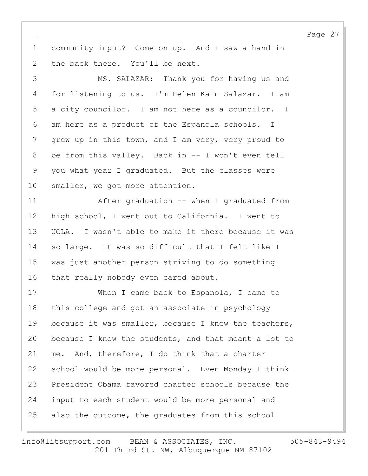1 community input? Come on up. And I saw a hand in 2 the back there. You'll be next.

3 MS. SALAZAR: Thank you for having us and 4 for listening to us. I'm Helen Kain Salazar. I am 5 a city councilor. I am not here as a councilor. I 6 am here as a product of the Espanola schools. I 7 grew up in this town, and I am very, very proud to 8 be from this valley. Back in -- I won't even tell 9 you what year I graduated. But the classes were 10 smaller, we got more attention.

11 After graduation -- when I graduated from 12 high school, I went out to California. I went to 13 UCLA. I wasn't able to make it there because it was 14 so large. It was so difficult that I felt like I 15 was just another person striving to do something 16 that really nobody even cared about.

17 When I came back to Espanola, I came to 18 this college and got an associate in psychology 19 because it was smaller, because I knew the teachers, 20 because I knew the students, and that meant a lot to 21 me. And, therefore, I do think that a charter 22 school would be more personal. Even Monday I think 23 President Obama favored charter schools because the 24 input to each student would be more personal and 25 also the outcome, the graduates from this school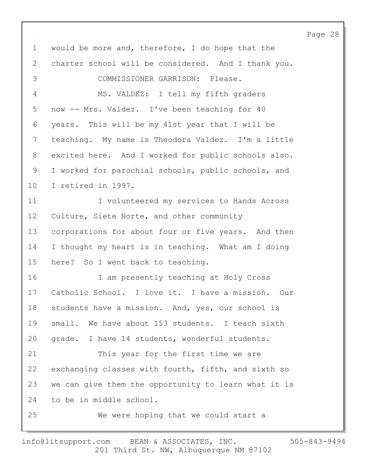1 would be more and, therefore, I do hope that the 2 charter school will be considered. And I thank you. 3 COMMISSIONER GARRISON: Please. 4 MS. VALDEZ: I tell my fifth graders 5 now -- Mrs. Valdez. I've been teaching for 40 6 years. This will be my 41st year that I will be 7 teaching. My name is Theodora Valdez. I'm a little 8 excited here. And I worked for public schools also. 9 I worked for parochial schools, public schools, and 10 I retired in 1997. 11 **I** volunteered my services to Hands Across 12 Culture, Siete Norte, and other community 13 corporations for about four or five years. And then 14 I thought my heart is in teaching. What am I doing 15 here? So I went back to teaching. 16 I am presently teaching at Holy Cross 17 Catholic School. I love it. I have a mission. Our 18 students have a mission. And, yes, our school is 19 small. We have about 153 students. I teach sixth 20 grade. I have 14 students, wonderful students. 21 This year for the first time we are 22 exchanging classes with fourth, fifth, and sixth so 23 we can give them the opportunity to learn what it is 24 to be in middle school. 25 We were hoping that we could start a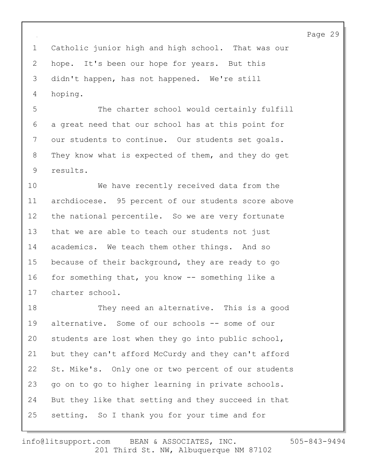1 Catholic junior high and high school. That was our 2 hope. It's been our hope for years. But this 3 didn't happen, has not happened. We're still 4 hoping.

5 The charter school would certainly fulfill 6 a great need that our school has at this point for 7 our students to continue. Our students set goals. 8 They know what is expected of them, and they do get 9 results.

10 We have recently received data from the 11 archdiocese. 95 percent of our students score above 12 the national percentile. So we are very fortunate 13 that we are able to teach our students not just 14 academics. We teach them other things. And so 15 because of their background, they are ready to go 16 for something that, you know -- something like a 17 charter school.

18 They need an alternative. This is a good 19 alternative. Some of our schools -- some of our 20 students are lost when they go into public school, 21 but they can't afford McCurdy and they can't afford 22 St. Mike's. Only one or two percent of our students 23 go on to go to higher learning in private schools. 24 But they like that setting and they succeed in that 25 setting. So I thank you for your time and for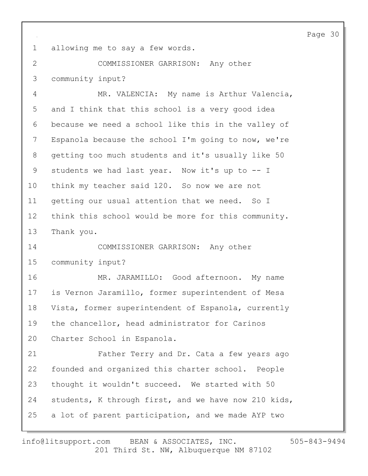1 allowing me to say a few words.

2 COMMISSIONER GARRISON: Any other 3 community input?

4 MR. VALENCIA: My name is Arthur Valencia, 5 and I think that this school is a very good idea 6 because we need a school like this in the valley of 7 Espanola because the school I'm going to now, we're 8 getting too much students and it's usually like 50 9 students we had last year. Now it's up to -- I 10 think my teacher said 120. So now we are not 11 getting our usual attention that we need. So I 12 think this school would be more for this community. 13 Thank you. 14 COMMISSIONER GARRISON: Any other 15 community input? 16 MR. JARAMILLO: Good afternoon. My name

17 is Vernon Jaramillo, former superintendent of Mesa 18 Vista, former superintendent of Espanola, currently 19 the chancellor, head administrator for Carinos 20 Charter School in Espanola.

21 Father Terry and Dr. Cata a few years ago 22 founded and organized this charter school. People 23 thought it wouldn't succeed. We started with 50 24 students, K through first, and we have now 210 kids, 25 a lot of parent participation, and we made AYP two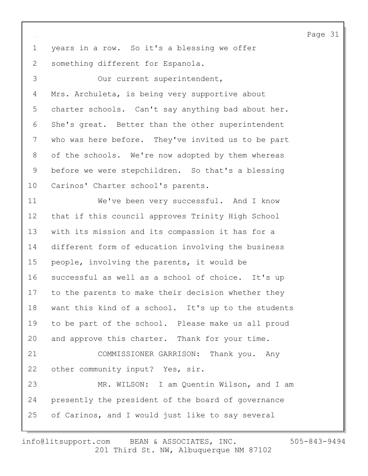1 years in a row. So it's a blessing we offer 2 something different for Espanola. 3 Our current superintendent, 4 Mrs. Archuleta, is being very supportive about 5 charter schools. Can't say anything bad about her. 6 She's great. Better than the other superintendent 7 who was here before. They've invited us to be part 8 of the schools. We're now adopted by them whereas 9 before we were stepchildren. So that's a blessing 10 Carinos' Charter school's parents. 11 We've been very successful. And I know 12 that if this council approves Trinity High School 13 with its mission and its compassion it has for a 14 different form of education involving the business 15 people, involving the parents, it would be 16 successful as well as a school of choice. It's up 17 to the parents to make their decision whether they 18 want this kind of a school. It's up to the students 19 to be part of the school. Please make us all proud 20 and approve this charter. Thank for your time. 21 COMMISSIONER GARRISON: Thank you. Any 22 other community input? Yes, sir. 23 MR. WILSON: I am Quentin Wilson, and I am 24 presently the president of the board of governance 25 of Carinos, and I would just like to say several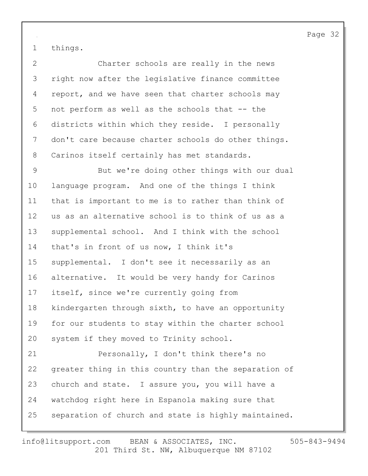1 things.

2 Charter schools are really in the news 3 right now after the legislative finance committee 4 report, and we have seen that charter schools may 5 not perform as well as the schools that -- the 6 districts within which they reside. I personally 7 don't care because charter schools do other things. 8 Carinos itself certainly has met standards.

9 But we're doing other things with our dual 10 language program. And one of the things I think 11 that is important to me is to rather than think of 12 us as an alternative school is to think of us as a 13 supplemental school. And I think with the school 14 that's in front of us now, I think it's 15 supplemental. I don't see it necessarily as an 16 alternative. It would be very handy for Carinos 17 itself, since we're currently going from 18 kindergarten through sixth, to have an opportunity 19 for our students to stay within the charter school 20 system if they moved to Trinity school. 21 Personally, I don't think there's no 22 greater thing in this country than the separation of 23 church and state. I assure you, you will have a 24 watchdog right here in Espanola making sure that

25 separation of church and state is highly maintained.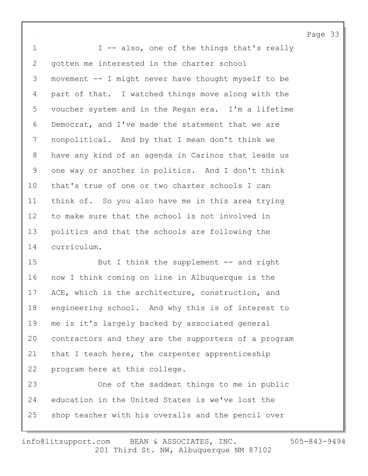1 I -- also, one of the things that's really 2 gotten me interested in the charter school 3 movement -- I might never have thought myself to be 4 part of that. I watched things move along with the 5 voucher system and in the Regan era. I'm a lifetime 6 Democrat, and I've made the statement that we are 7 nonpolitical. And by that I mean don't think we 8 have any kind of an agenda in Carinos that leads us 9 one way or another in politics. And I don't think 10 that's true of one or two charter schools I can 11 think of. So you also have me in this area trying 12 to make sure that the school is not involved in 13 politics and that the schools are following the 14 curriculum.

15 But I think the supplement -- and right 16 now I think coming on line in Albuquerque is the 17 ACE, which is the architecture, construction, and 18 engineering school. And why this is of interest to 19 me is it's largely backed by associated general 20 contractors and they are the supporters of a program 21 that I teach here, the carpenter apprenticeship 22 program here at this college.

23 One of the saddest things to me in public 24 education in the United States is we've lost the 25 shop teacher with his overalls and the pencil over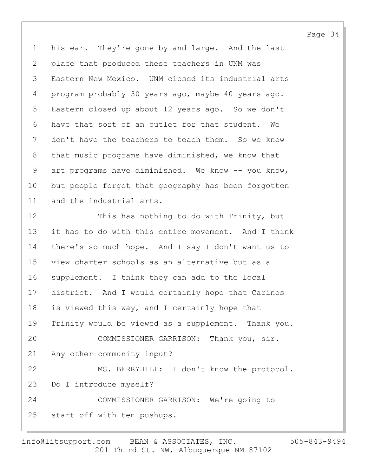1 his ear. They're gone by and large. And the last 2 place that produced these teachers in UNM was 3 Eastern New Mexico. UNM closed its industrial arts 4 program probably 30 years ago, maybe 40 years ago. 5 Eastern closed up about 12 years ago. So we don't 6 have that sort of an outlet for that student. We 7 don't have the teachers to teach them. So we know 8 that music programs have diminished, we know that 9 art programs have diminished. We know -- you know, 10 but people forget that geography has been forgotten 11 and the industrial arts.

12 This has nothing to do with Trinity, but 13 it has to do with this entire movement. And I think 14 there's so much hope. And I say I don't want us to 15 view charter schools as an alternative but as a 16 supplement. I think they can add to the local 17 district. And I would certainly hope that Carinos 18 is viewed this way, and I certainly hope that 19 Trinity would be viewed as a supplement. Thank you. 20 COMMISSIONER GARRISON: Thank you, sir. 21 Any other community input? 22 MS. BERRYHILL: I don't know the protocol. 23 Do I introduce myself? 24 COMMISSIONER GARRISON: We're going to 25 start off with ten pushups.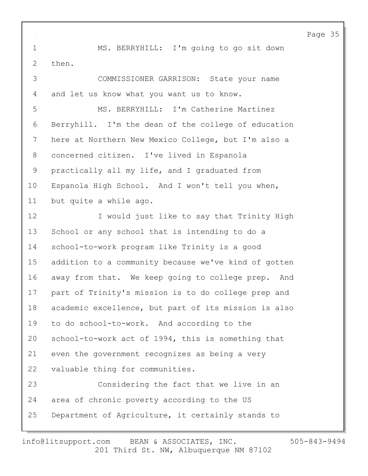1 MS. BERRYHILL: I'm going to go sit down 2 then.

3 COMMISSIONER GARRISON: State your name 4 and let us know what you want us to know.

5 MS. BERRYHILL: I'm Catherine Martinez 6 Berryhill. I'm the dean of the college of education 7 here at Northern New Mexico College, but I'm also a 8 concerned citizen. I've lived in Espanola 9 practically all my life, and I graduated from 10 Espanola High School. And I won't tell you when, 11 but quite a while ago.

12 I would just like to say that Trinity High 13 School or any school that is intending to do a 14 school-to-work program like Trinity is a good 15 addition to a community because we've kind of gotten 16 away from that. We keep going to college prep. And 17 part of Trinity's mission is to do college prep and 18 academic excellence, but part of its mission is also 19 to do school-to-work. And according to the 20 school-to-work act of 1994, this is something that 21 even the government recognizes as being a very 22 valuable thing for communities. 23 Considering the fact that we live in an 24 area of chronic poverty according to the US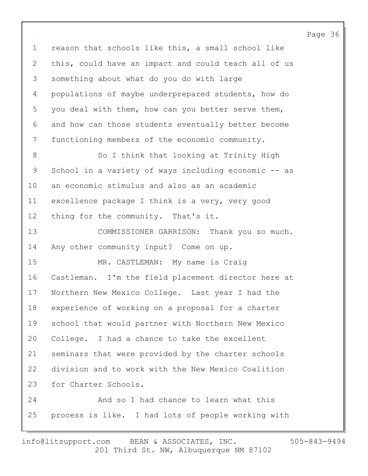1 reason that schools like this, a small school like 2 this, could have an impact and could teach all of us 3 something about what do you do with large 4 populations of maybe underprepared students, how do 5 you deal with them, how can you better serve them, 6 and how can those students eventually better become 7 functioning members of the economic community. 8 So I think that looking at Trinity High 9 School in a variety of ways including economic -- as 10 an economic stimulus and also as an academic 11 excellence package I think is a very, very good 12 thing for the community. That's it. 13 COMMISSIONER GARRISON: Thank you so much. 14 Any other community input? Come on up. 15 MR. CASTLEMAN: My name is Craig 16 Castleman. I'm the field placement director here at 17 Northern New Mexico College. Last year I had the 18 experience of working on a proposal for a charter 19 school that would partner with Northern New Mexico 20 College. I had a chance to take the excellent 21 seminars that were provided by the charter schools 22 division and to work with the New Mexico Coalition 23 for Charter Schools. 24 And so I had chance to learn what this

25 process is like. I had lots of people working with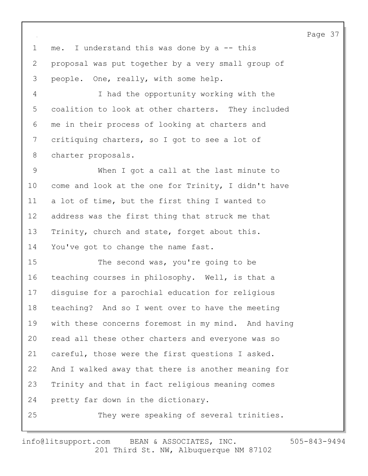1 me. I understand this was done by a -- this 2 proposal was put together by a very small group of 3 people. One, really, with some help.

4 I had the opportunity working with the 5 coalition to look at other charters. They included 6 me in their process of looking at charters and 7 critiquing charters, so I got to see a lot of 8 charter proposals.

9 When I got a call at the last minute to 10 come and look at the one for Trinity, I didn't have 11 a lot of time, but the first thing I wanted to 12 address was the first thing that struck me that 13 Trinity, church and state, forget about this. 14 You've got to change the name fast.

15 The second was, you're going to be 16 teaching courses in philosophy. Well, is that a 17 disguise for a parochial education for religious 18 teaching? And so I went over to have the meeting 19 with these concerns foremost in my mind. And having 20 read all these other charters and everyone was so 21 careful, those were the first questions I asked. 22 And I walked away that there is another meaning for 23 Trinity and that in fact religious meaning comes 24 pretty far down in the dictionary. 25 They were speaking of several trinities.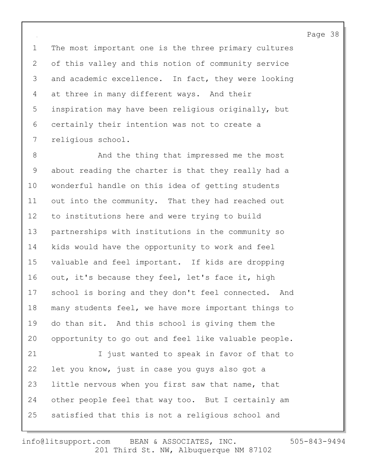1 The most important one is the three primary cultures 2 of this valley and this notion of community service 3 and academic excellence. In fact, they were looking 4 at three in many different ways. And their 5 inspiration may have been religious originally, but 6 certainly their intention was not to create a 7 religious school.

8 And the thing that impressed me the most 9 about reading the charter is that they really had a 10 wonderful handle on this idea of getting students 11 out into the community. That they had reached out 12 to institutions here and were trying to build 13 partnerships with institutions in the community so 14 kids would have the opportunity to work and feel 15 valuable and feel important. If kids are dropping 16 out, it's because they feel, let's face it, high 17 school is boring and they don't feel connected. And 18 many students feel, we have more important things to 19 do than sit. And this school is giving them the 20 opportunity to go out and feel like valuable people. 21 I just wanted to speak in favor of that to 22 let you know, just in case you guys also got a 23 little nervous when you first saw that name, that 24 other people feel that way too. But I certainly am 25 satisfied that this is not a religious school and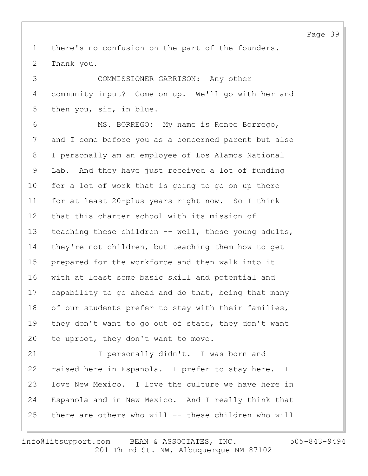1 there's no confusion on the part of the founders. 2 Thank you.

3 COMMISSIONER GARRISON: Any other 4 community input? Come on up. We'll go with her and 5 then you, sir, in blue.

6 MS. BORREGO: My name is Renee Borrego, 7 and I come before you as a concerned parent but also 8 I personally am an employee of Los Alamos National 9 Lab. And they have just received a lot of funding 10 for a lot of work that is going to go on up there 11 for at least 20-plus years right now. So I think 12 that this charter school with its mission of 13 teaching these children -- well, these young adults, 14 they're not children, but teaching them how to get 15 prepared for the workforce and then walk into it 16 with at least some basic skill and potential and 17 capability to go ahead and do that, being that many 18 of our students prefer to stay with their families, 19 they don't want to go out of state, they don't want 20 to uproot, they don't want to move.

21 I personally didn't. I was born and 22 raised here in Espanola. I prefer to stay here. I 23 love New Mexico. I love the culture we have here in 24 Espanola and in New Mexico. And I really think that 25 there are others who will -- these children who will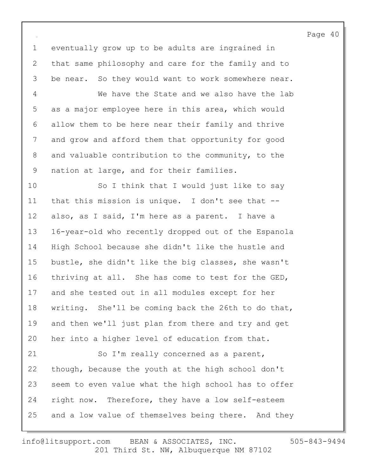1 eventually grow up to be adults are ingrained in 2 that same philosophy and care for the family and to 3 be near. So they would want to work somewhere near. 4 We have the State and we also have the lab 5 as a major employee here in this area, which would 6 allow them to be here near their family and thrive 7 and grow and afford them that opportunity for good 8 and valuable contribution to the community, to the 9 nation at large, and for their families.

10 So I think that I would just like to say 11 that this mission is unique. I don't see that -- 12 also, as I said, I'm here as a parent. I have a 13 16-year-old who recently dropped out of the Espanola 14 High School because she didn't like the hustle and 15 bustle, she didn't like the big classes, she wasn't 16 thriving at all. She has come to test for the GED, 17 and she tested out in all modules except for her 18 writing. She'll be coming back the 26th to do that, 19 and then we'll just plan from there and try and get 20 her into a higher level of education from that.

21 So I'm really concerned as a parent, 22 though, because the youth at the high school don't 23 seem to even value what the high school has to offer 24 right now. Therefore, they have a low self-esteem 25 and a low value of themselves being there. And they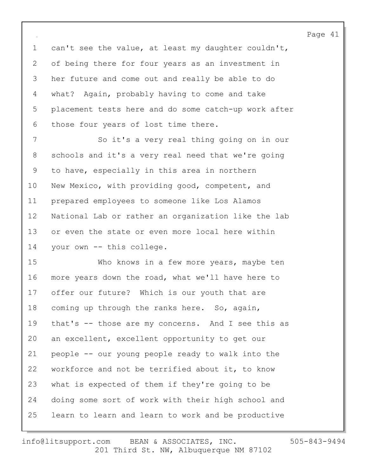1 can't see the value, at least my daughter couldn't, 2 of being there for four years as an investment in 3 her future and come out and really be able to do 4 what? Again, probably having to come and take 5 placement tests here and do some catch-up work after 6 those four years of lost time there.

7 So it's a very real thing going on in our 8 schools and it's a very real need that we're going 9 to have, especially in this area in northern 10 New Mexico, with providing good, competent, and 11 prepared employees to someone like Los Alamos 12 National Lab or rather an organization like the lab 13 or even the state or even more local here within 14 your own -- this college.

15 Who knows in a few more years, maybe ten 16 more years down the road, what we'll have here to 17 offer our future? Which is our youth that are 18 coming up through the ranks here. So, again, 19 that's -- those are my concerns. And I see this as 20 an excellent, excellent opportunity to get our 21 people -- our young people ready to walk into the 22 workforce and not be terrified about it, to know 23 what is expected of them if they're going to be 24 doing some sort of work with their high school and 25 learn to learn and learn to work and be productive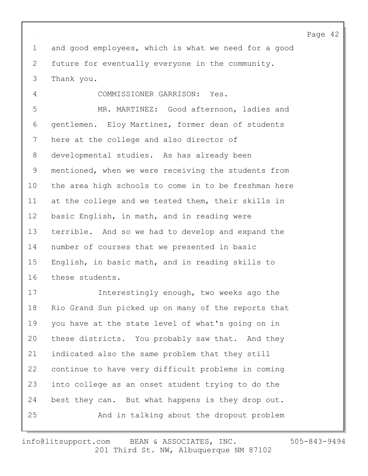1 and good employees, which is what we need for a good 2 future for eventually everyone in the community. 3 Thank you.

4 COMMISSIONER GARRISON: Yes. 5 MR. MARTINEZ: Good afternoon, ladies and 6 gentlemen. Eloy Martinez, former dean of students 7 here at the college and also director of 8 developmental studies. As has already been 9 mentioned, when we were receiving the students from 10 the area high schools to come in to be freshman here 11 at the college and we tested them, their skills in 12 basic English, in math, and in reading were 13 terrible. And so we had to develop and expand the 14 number of courses that we presented in basic 15 English, in basic math, and in reading skills to 16 these students.

17 Interestingly enough, two weeks ago the 18 Rio Grand Sun picked up on many of the reports that 19 you have at the state level of what's going on in 20 these districts. You probably saw that. And they 21 indicated also the same problem that they still 22 continue to have very difficult problems in coming 23 into college as an onset student trying to do the 24 best they can. But what happens is they drop out. 25 And in talking about the dropout problem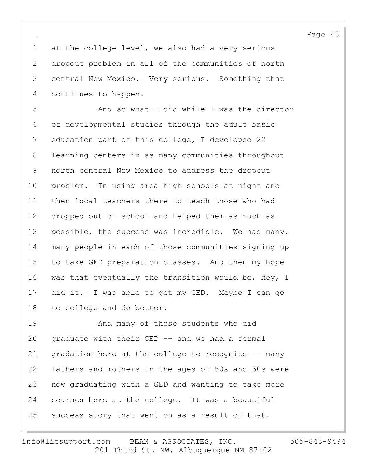1 at the college level, we also had a very serious 2 dropout problem in all of the communities of north 3 central New Mexico. Very serious. Something that 4 continues to happen.

5 And so what I did while I was the director 6 of developmental studies through the adult basic 7 education part of this college, I developed 22 8 learning centers in as many communities throughout 9 north central New Mexico to address the dropout 10 problem. In using area high schools at night and 11 then local teachers there to teach those who had 12 dropped out of school and helped them as much as 13 possible, the success was incredible. We had many, 14 many people in each of those communities signing up 15 to take GED preparation classes. And then my hope 16 was that eventually the transition would be, hey, I 17 did it. I was able to get my GED. Maybe I can go 18 to college and do better.

19 And many of those students who did 20 graduate with their GED -- and we had a formal 21 gradation here at the college to recognize -- many 22 fathers and mothers in the ages of 50s and 60s were 23 now graduating with a GED and wanting to take more 24 courses here at the college. It was a beautiful 25 success story that went on as a result of that.

201 Third St. NW, Albuquerque NM 87102 info@litsupport.com BEAN & ASSOCIATES, INC. 505-843-9494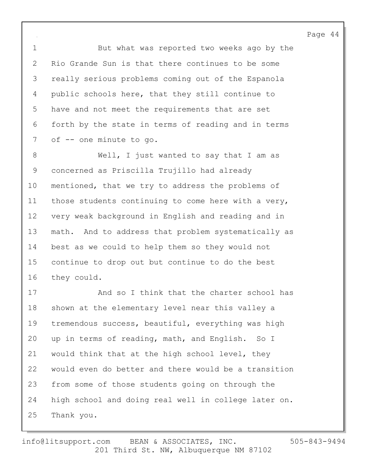1 But what was reported two weeks ago by the 2 Rio Grande Sun is that there continues to be some 3 really serious problems coming out of the Espanola 4 public schools here, that they still continue to 5 have and not meet the requirements that are set 6 forth by the state in terms of reading and in terms 7 of -- one minute to go.

8 Well, I just wanted to say that I am as 9 concerned as Priscilla Trujillo had already 10 mentioned, that we try to address the problems of 11 those students continuing to come here with a very, 12 very weak background in English and reading and in 13 math. And to address that problem systematically as 14 best as we could to help them so they would not 15 continue to drop out but continue to do the best 16 they could.

17 And so I think that the charter school has 18 shown at the elementary level near this valley a 19 tremendous success, beautiful, everything was high 20 up in terms of reading, math, and English. So I 21 would think that at the high school level, they 22 would even do better and there would be a transition 23 from some of those students going on through the 24 high school and doing real well in college later on. 25 Thank you.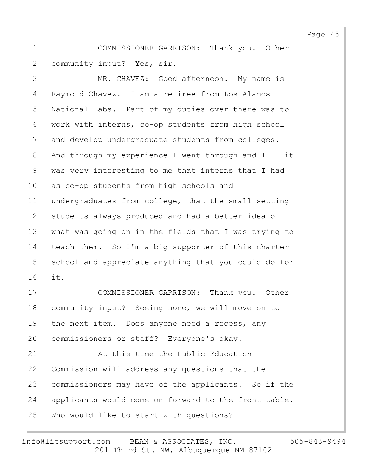1 COMMISSIONER GARRISON: Thank you. Other 2 community input? Yes, sir.

3 MR. CHAVEZ: Good afternoon. My name is 4 Raymond Chavez. I am a retiree from Los Alamos 5 National Labs. Part of my duties over there was to 6 work with interns, co-op students from high school 7 and develop undergraduate students from colleges. 8 And through my experience I went through and I -- it 9 was very interesting to me that interns that I had 10 as co-op students from high schools and 11 undergraduates from college, that the small setting 12 students always produced and had a better idea of 13 what was going on in the fields that I was trying to 14 teach them. So I'm a big supporter of this charter 15 school and appreciate anything that you could do for 16 it. 17 COMMISSIONER GARRISON: Thank you. Other 18 community input? Seeing none, we will move on to 19 the next item. Does anyone need a recess, any 20 commissioners or staff? Everyone's okay. 21 At this time the Public Education 22 Commission will address any questions that the

24 applicants would come on forward to the front table.

23 commissioners may have of the applicants. So if the

25 Who would like to start with questions?

$$
505 - 843 - 9494
$$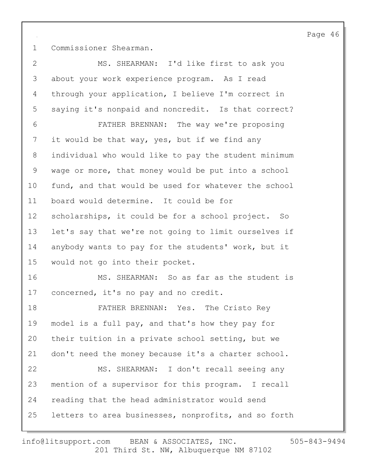1 Commissioner Shearman.

| $\mathbf{2}$ | MS. SHEARMAN: I'd like first to ask you              |
|--------------|------------------------------------------------------|
| 3            | about your work experience program. As I read        |
| 4            | through your application, I believe I'm correct in   |
| 5            | saying it's nonpaid and noncredit. Is that correct?  |
| 6            | FATHER BRENNAN: The way we're proposing              |
| 7            | it would be that way, yes, but if we find any        |
| 8            | individual who would like to pay the student minimum |
| 9            | wage or more, that money would be put into a school  |
| 10           | fund, and that would be used for whatever the school |
| 11           | board would determine. It could be for               |
| 12           | scholarships, it could be for a school project. So   |
| 13           | let's say that we're not going to limit ourselves if |
| 14           | anybody wants to pay for the students' work, but it  |
| 15           | would not go into their pocket.                      |
| 16           | MS. SHEARMAN: So as far as the student is            |
| 17           | concerned, it's no pay and no credit.                |
| 18           | FATHER BRENNAN: Yes. The Cristo Rey                  |
| 19           | model is a full pay, and that's how they pay for     |
| 20           | their tuition in a private school setting, but we    |
| 21           | don't need the money because it's a charter school.  |
| 22           | MS. SHEARMAN: I don't recall seeing any              |
| 23           | mention of a supervisor for this program. I recall   |
| 24           | reading that the head administrator would send       |
| 25           | letters to area businesses, nonprofits, and so forth |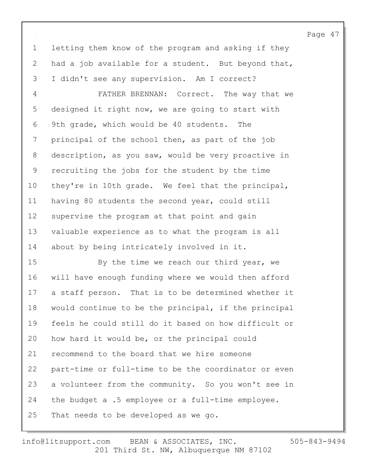1 letting them know of the program and asking if they 2 had a job available for a student. But beyond that, 3 I didn't see any supervision. Am I correct?

4 FATHER BRENNAN: Correct. The way that we 5 designed it right now, we are going to start with 6 9th grade, which would be 40 students. The 7 principal of the school then, as part of the job 8 description, as you saw, would be very proactive in 9 recruiting the jobs for the student by the time 10 they're in 10th grade. We feel that the principal, 11 having 80 students the second year, could still 12 supervise the program at that point and gain 13 valuable experience as to what the program is all 14 about by being intricately involved in it.

15 By the time we reach our third year, we 16 will have enough funding where we would then afford 17 a staff person. That is to be determined whether it 18 would continue to be the principal, if the principal 19 feels he could still do it based on how difficult or 20 how hard it would be, or the principal could 21 recommend to the board that we hire someone 22 part-time or full-time to be the coordinator or even 23 a volunteer from the community. So you won't see in 24 the budget a .5 employee or a full-time employee. 25 That needs to be developed as we go.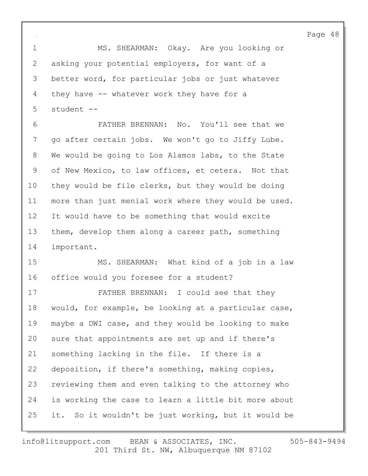1 MS. SHEARMAN: Okay. Are you looking or 2 asking your potential employers, for want of a 3 better word, for particular jobs or just whatever 4 they have -- whatever work they have for a 5 student --

6 FATHER BRENNAN: No. You'll see that we 7 go after certain jobs. We won't go to Jiffy Lube. 8 We would be going to Los Alamos labs, to the State 9 of New Mexico, to law offices, et cetera. Not that 10 they would be file clerks, but they would be doing 11 more than just menial work where they would be used. 12 It would have to be something that would excite 13 them, develop them along a career path, something 14 important.

15 MS. SHEARMAN: What kind of a job in a law 16 office would you foresee for a student?

17 FATHER BRENNAN: I could see that they 18 would, for example, be looking at a particular case, 19 maybe a DWI case, and they would be looking to make 20 sure that appointments are set up and if there's 21 something lacking in the file. If there is a 22 deposition, if there's something, making copies, 23 reviewing them and even talking to the attorney who 24 is working the case to learn a little bit more about 25 it. So it wouldn't be just working, but it would be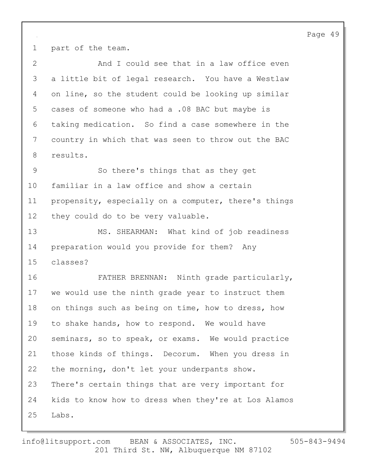1 part of the team.

2 And I could see that in a law office even 3 a little bit of legal research. You have a Westlaw 4 on line, so the student could be looking up similar 5 cases of someone who had a .08 BAC but maybe is 6 taking medication. So find a case somewhere in the 7 country in which that was seen to throw out the BAC 8 results. 9 So there's things that as they get 10 familiar in a law office and show a certain 11 propensity, especially on a computer, there's things 12 they could do to be very valuable. 13 MS. SHEARMAN: What kind of job readiness 14 preparation would you provide for them? Any 15 classes? 16 FATHER BRENNAN: Ninth grade particularly, 17 we would use the ninth grade year to instruct them 18 on things such as being on time, how to dress, how 19 to shake hands, how to respond. We would have 20 seminars, so to speak, or exams. We would practice 21 those kinds of things. Decorum. When you dress in 22 the morning, don't let your underpants show. 23 There's certain things that are very important for 24 kids to know how to dress when they're at Los Alamos 25 Labs.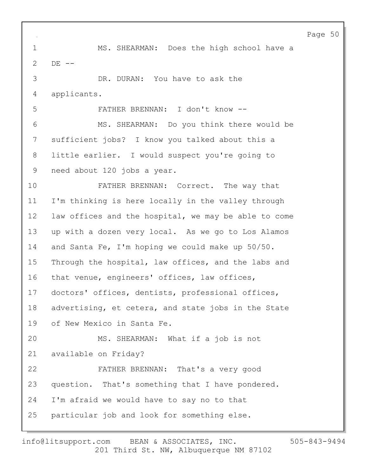1 MS. SHEARMAN: Does the high school have a 2 DE -- 3 DR. DURAN: You have to ask the 4 applicants. 5 FATHER BRENNAN: I don't know -- 6 MS. SHEARMAN: Do you think there would be 7 sufficient jobs? I know you talked about this a 8 little earlier. I would suspect you're going to 9 need about 120 jobs a year. 10 FATHER BRENNAN: Correct. The way that 11 I'm thinking is here locally in the valley through 12 law offices and the hospital, we may be able to come 13 up with a dozen very local. As we go to Los Alamos 14 and Santa Fe, I'm hoping we could make up 50/50. 15 Through the hospital, law offices, and the labs and 16 that venue, engineers' offices, law offices, 17 doctors' offices, dentists, professional offices, 18 advertising, et cetera, and state jobs in the State 19 of New Mexico in Santa Fe. 20 MS. SHEARMAN: What if a job is not 21 available on Friday? 22 FATHER BRENNAN: That's a very good 23 question. That's something that I have pondered. 24 I'm afraid we would have to say no to that 25 particular job and look for something else.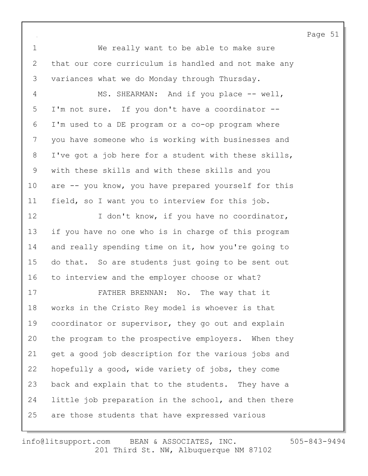1 We really want to be able to make sure 2 that our core curriculum is handled and not make any 3 variances what we do Monday through Thursday. 4 MS. SHEARMAN: And if you place -- well, 5 I'm not sure. If you don't have a coordinator -- 6 I'm used to a DE program or a co-op program where 7 you have someone who is working with businesses and 8 I've got a job here for a student with these skills, 9 with these skills and with these skills and you 10 are -- you know, you have prepared yourself for this 11 field, so I want you to interview for this job. 12 I don't know, if you have no coordinator, 13 if you have no one who is in charge of this program 14 and really spending time on it, how you're going to 15 do that. So are students just going to be sent out 16 to interview and the employer choose or what? 17 FATHER BRENNAN: No. The way that it 18 works in the Cristo Rey model is whoever is that 19 coordinator or supervisor, they go out and explain 20 the program to the prospective employers. When they 21 get a good job description for the various jobs and 22 hopefully a good, wide variety of jobs, they come 23 back and explain that to the students. They have a 24 little job preparation in the school, and then there 25 are those students that have expressed various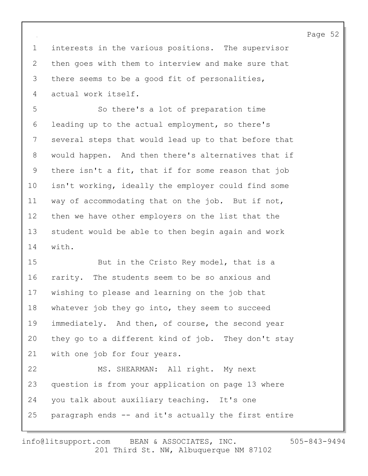1 interests in the various positions. The supervisor 2 then goes with them to interview and make sure that 3 there seems to be a good fit of personalities, 4 actual work itself.

5 So there's a lot of preparation time 6 leading up to the actual employment, so there's 7 several steps that would lead up to that before that 8 would happen. And then there's alternatives that if 9 there isn't a fit, that if for some reason that job 10 isn't working, ideally the employer could find some 11 way of accommodating that on the job. But if not, 12 then we have other employers on the list that the 13 student would be able to then begin again and work 14 with.

15 But in the Cristo Rey model, that is a 16 rarity. The students seem to be so anxious and 17 wishing to please and learning on the job that 18 whatever job they go into, they seem to succeed 19 immediately. And then, of course, the second year 20 they go to a different kind of job. They don't stay 21 with one job for four years. 22 MS. SHEARMAN: All right. My next 23 question is from your application on page 13 where

25 paragraph ends -- and it's actually the first entire

24 you talk about auxiliary teaching. It's one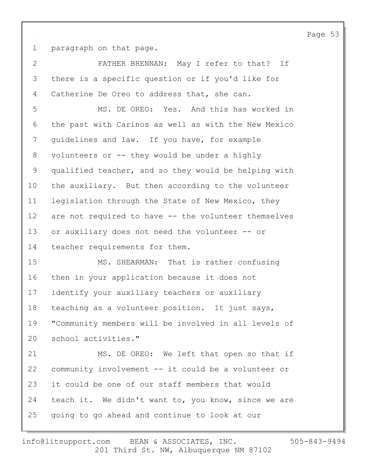1 paragraph on that page.

2 FATHER BRENNAN: May I refer to that? If 3 there is a specific question or if you'd like for 4 Catherine De Oreo to address that, she can. 5 MS. DE OREO: Yes. And this has worked in 6 the past with Carinos as well as with the New Mexico 7 quidelines and law. If you have, for example 8 volunteers or -- they would be under a highly 9 qualified teacher, and so they would be helping with 10 the auxiliary. But then according to the volunteer 11 legislation through the State of New Mexico, they 12 are not required to have -- the volunteer themselves 13 or auxiliary does not need the volunteer -- or 14 teacher requirements for them. 15 MS. SHEARMAN: That is rather confusing 16 then in your application because it does not 17 identify your auxiliary teachers or auxiliary 18 teaching as a volunteer position. It just says, 19 "Community members will be involved in all levels of 20 school activities." 21 MS. DE OREO: We left that open so that if 22 community involvement -- it could be a volunteer or 23 it could be one of our staff members that would 24 teach it. We didn't want to, you know, since we are 25 going to go ahead and continue to look at our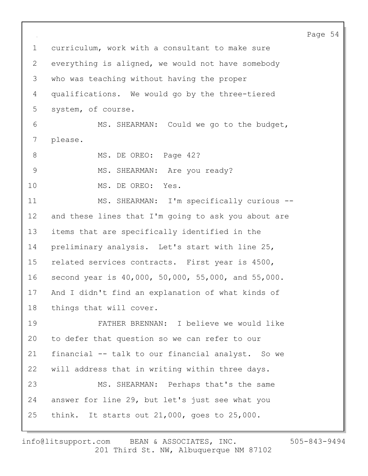Page 54 1 curriculum, work with a consultant to make sure 2 everything is aligned, we would not have somebody 3 who was teaching without having the proper 4 qualifications. We would go by the three-tiered 5 system, of course. 6 MS. SHEARMAN: Could we go to the budget, 7 please. 8 MS. DE OREO: Page 42? 9 MS. SHEARMAN: Are you ready? 10 MS. DE OREO: Yes. 11 MS. SHEARMAN: I'm specifically curious --12 and these lines that I'm going to ask you about are 13 items that are specifically identified in the 14 preliminary analysis. Let's start with line 25, 15 related services contracts. First year is 4500, 16 second year is 40,000, 50,000, 55,000, and 55,000. 17 And I didn't find an explanation of what kinds of 18 things that will cover. 19 FATHER BRENNAN: I believe we would like 20 to defer that question so we can refer to our 21 financial -- talk to our financial analyst. So we 22 will address that in writing within three days. 23 MS. SHEARMAN: Perhaps that's the same 24 answer for line 29, but let's just see what you 25 think. It starts out 21,000, goes to 25,000.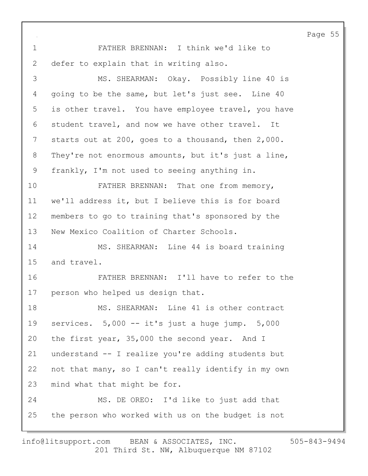Page 55 1 FATHER BRENNAN: I think we'd like to 2 defer to explain that in writing also. 3 MS. SHEARMAN: Okay. Possibly line 40 is 4 going to be the same, but let's just see. Line 40 5 is other travel. You have employee travel, you have 6 student travel, and now we have other travel. It 7 starts out at 200, goes to a thousand, then 2,000. 8 They're not enormous amounts, but it's just a line, 9 frankly, I'm not used to seeing anything in. 10 FATHER BRENNAN: That one from memory, 11 we'll address it, but I believe this is for board 12 members to go to training that's sponsored by the 13 New Mexico Coalition of Charter Schools. 14 MS. SHEARMAN: Line 44 is board training 15 and travel. 16 FATHER BRENNAN: I'll have to refer to the 17 person who helped us design that. 18 MS. SHEARMAN: Line 41 is other contract 19 services. 5,000 -- it's just a huge jump. 5,000 20 the first year, 35,000 the second year. And I 21 understand -- I realize you're adding students but 22 not that many, so I can't really identify in my own 23 mind what that might be for. 24 MS. DE OREO: I'd like to just add that 25 the person who worked with us on the budget is not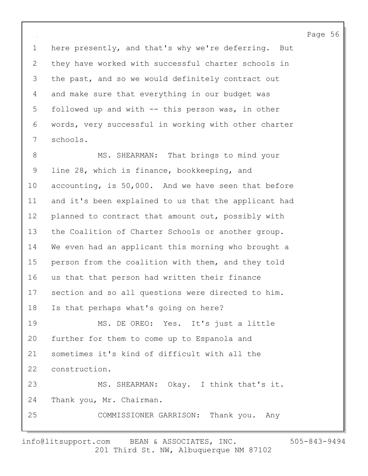1 here presently, and that's why we're deferring. But 2 they have worked with successful charter schools in 3 the past, and so we would definitely contract out 4 and make sure that everything in our budget was 5 followed up and with -- this person was, in other 6 words, very successful in working with other charter 7 schools.

8 MS. SHEARMAN: That brings to mind your 9 line 28, which is finance, bookkeeping, and 10 accounting, is 50,000. And we have seen that before 11 and it's been explained to us that the applicant had 12 planned to contract that amount out, possibly with 13 the Coalition of Charter Schools or another group. 14 We even had an applicant this morning who brought a 15 person from the coalition with them, and they told 16 us that that person had written their finance 17 section and so all questions were directed to him. 18 Is that perhaps what's going on here? 19 MS. DE OREO: Yes. It's just a little 20 further for them to come up to Espanola and 21 sometimes it's kind of difficult with all the 22 construction. 23 MS. SHEARMAN: Okay. I think that's it. 24 Thank you, Mr. Chairman. 25 COMMISSIONER GARRISON: Thank you. Any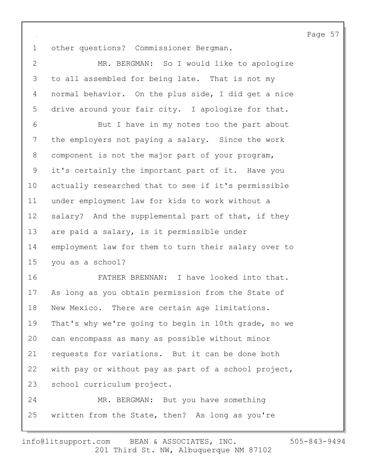1 other questions? Commissioner Bergman.

2 MR. BERGMAN: So I would like to apologize 3 to all assembled for being late. That is not my 4 normal behavior. On the plus side, I did get a nice 5 drive around your fair city. I apologize for that. 6 But I have in my notes too the part about 7 the employers not paying a salary. Since the work 8 component is not the major part of your program, 9 it's certainly the important part of it. Have you 10 actually researched that to see if it's permissible 11 under employment law for kids to work without a 12 salary? And the supplemental part of that, if they 13 are paid a salary, is it permissible under 14 employment law for them to turn their salary over to 15 you as a school? 16 FATHER BRENNAN: I have looked into that. 17 As long as you obtain permission from the State of 18 New Mexico. There are certain age limitations. 19 That's why we're going to begin in 10th grade, so we 20 can encompass as many as possible without minor 21 requests for variations. But it can be done both 22 with pay or without pay as part of a school project,

23 school curriculum project.

24 MR. BERGMAN: But you have something 25 written from the State, then? As long as you're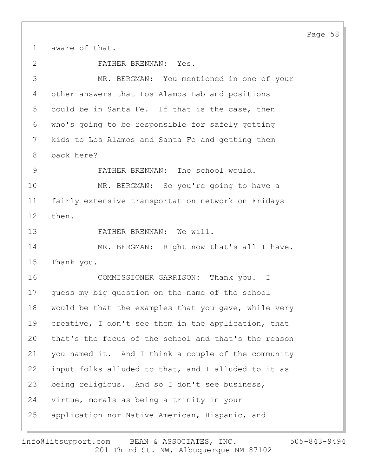1 aware of that.

2 FATHER BRENNAN: Yes.

3 MR. BERGMAN: You mentioned in one of your 4 other answers that Los Alamos Lab and positions 5 could be in Santa Fe. If that is the case, then 6 who's going to be responsible for safely getting 7 kids to Los Alamos and Santa Fe and getting them 8 back here?

9 FATHER BRENNAN: The school would. 10 MR. BERGMAN: So you're going to have a 11 fairly extensive transportation network on Fridays

12 then.

13 FATHER BRENNAN: We will.

14 MR. BERGMAN: Right now that's all I have. 15 Thank you.

16 COMMISSIONER GARRISON: Thank you. I 17 guess my big question on the name of the school 18 would be that the examples that you gave, while very 19 creative, I don't see them in the application, that 20 that's the focus of the school and that's the reason 21 you named it. And I think a couple of the community 22 input folks alluded to that, and I alluded to it as 23 being religious. And so I don't see business, 24 virtue, morals as being a trinity in your 25 application nor Native American, Hispanic, and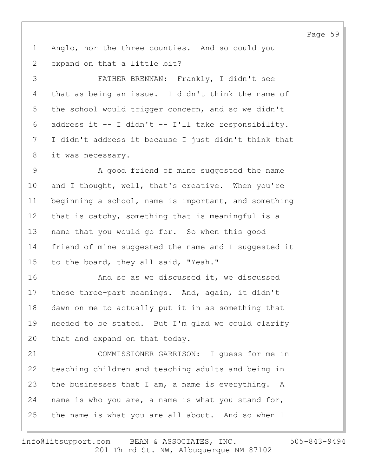1 Anglo, nor the three counties. And so could you 2 expand on that a little bit?

3 FATHER BRENNAN: Frankly, I didn't see 4 that as being an issue. I didn't think the name of 5 the school would trigger concern, and so we didn't 6 address it -- I didn't -- I'll take responsibility. 7 I didn't address it because I just didn't think that 8 it was necessary.

9 A good friend of mine suggested the name 10 and I thought, well, that's creative. When you're 11 beginning a school, name is important, and something 12 that is catchy, something that is meaningful is a 13 name that you would go for. So when this good 14 friend of mine suggested the name and I suggested it 15 to the board, they all said, "Yeah."

16 And so as we discussed it, we discussed 17 these three-part meanings. And, again, it didn't 18 dawn on me to actually put it in as something that 19 needed to be stated. But I'm glad we could clarify 20 that and expand on that today.

21 COMMISSIONER GARRISON: I guess for me in 22 teaching children and teaching adults and being in 23 the businesses that I am, a name is everything. A 24 name is who you are, a name is what you stand for, 25 the name is what you are all about. And so when I

201 Third St. NW, Albuquerque NM 87102 info@litsupport.com BEAN & ASSOCIATES, INC. 505-843-9494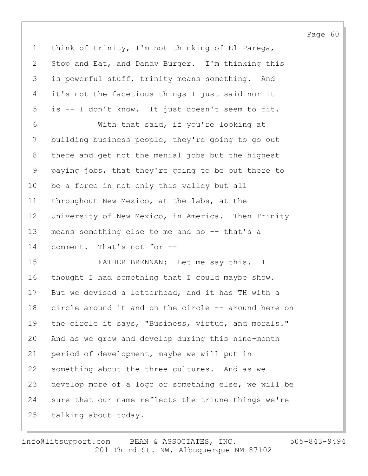1 think of trinity, I'm not thinking of El Parega, 2 Stop and Eat, and Dandy Burger. I'm thinking this 3 is powerful stuff, trinity means something. And 4 it's not the facetious things I just said nor it 5 is -- I don't know. It just doesn't seem to fit. 6 With that said, if you're looking at 7 building business people, they're going to go out 8 there and get not the menial jobs but the highest 9 paying jobs, that they're going to be out there to 10 be a force in not only this valley but all 11 throughout New Mexico, at the labs, at the 12 University of New Mexico, in America. Then Trinity 13 means something else to me and so -- that's a 14 comment. That's not for -- 15 FATHER BRENNAN: Let me say this. I 16 thought I had something that I could maybe show. 17 But we devised a letterhead, and it has TH with a 18 circle around it and on the circle -- around here on 19 the circle it says, "Business, virtue, and morals." 20 And as we grow and develop during this nine-month 21 period of development, maybe we will put in 22 something about the three cultures. And as we 23 develop more of a logo or something else, we will be 24 sure that our name reflects the triune things we're 25 talking about today.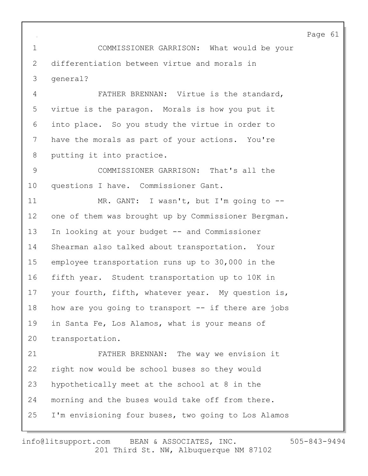1 COMMISSIONER GARRISON: What would be your 2 differentiation between virtue and morals in 3 general?

4 FATHER BRENNAN: Virtue is the standard, 5 virtue is the paragon. Morals is how you put it 6 into place. So you study the virtue in order to 7 have the morals as part of your actions. You're 8 putting it into practice.

9 COMMISSIONER GARRISON: That's all the 10 questions I have. Commissioner Gant.

11 MR. GANT: I wasn't, but I'm going to --12 one of them was brought up by Commissioner Bergman. 13 In looking at your budget -- and Commissioner 14 Shearman also talked about transportation. Your 15 employee transportation runs up to 30,000 in the 16 fifth year. Student transportation up to 10K in 17 your fourth, fifth, whatever year. My question is, 18 how are you going to transport -- if there are jobs 19 in Santa Fe, Los Alamos, what is your means of 20 transportation.

21 FATHER BRENNAN: The way we envision it 22 right now would be school buses so they would 23 hypothetically meet at the school at 8 in the 24 morning and the buses would take off from there. 25 I'm envisioning four buses, two going to Los Alamos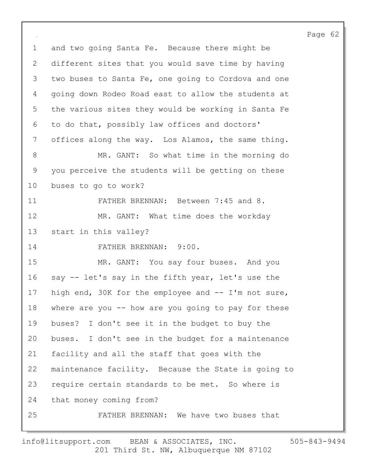1 and two going Santa Fe. Because there might be 2 different sites that you would save time by having 3 two buses to Santa Fe, one going to Cordova and one 4 going down Rodeo Road east to allow the students at 5 the various sites they would be working in Santa Fe 6 to do that, possibly law offices and doctors' 7 offices along the way. Los Alamos, the same thing. 8 MR. GANT: So what time in the morning do 9 you perceive the students will be getting on these 10 buses to go to work? 11 FATHER BRENNAN: Between 7:45 and 8. 12 MR. GANT: What time does the workday 13 start in this valley? 14 FATHER BRENNAN: 9:00. 15 MR. GANT: You say four buses. And you 16 say -- let's say in the fifth year, let's use the 17 high end, 30K for the employee and -- I'm not sure, 18 where are you -- how are you going to pay for these 19 buses? I don't see it in the budget to buy the 20 buses. I don't see in the budget for a maintenance 21 facility and all the staff that goes with the 22 maintenance facility. Because the State is going to 23 require certain standards to be met. So where is 24 that money coming from? 25 FATHER BRENNAN: We have two buses that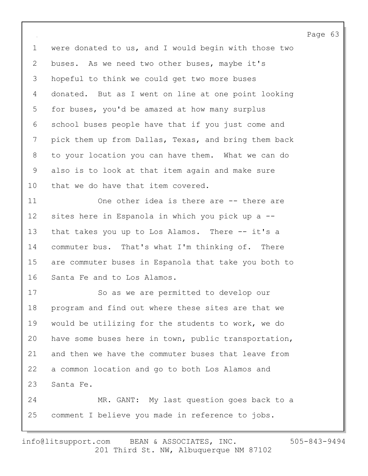1 were donated to us, and I would begin with those two 2 buses. As we need two other buses, maybe it's 3 hopeful to think we could get two more buses 4 donated. But as I went on line at one point looking 5 for buses, you'd be amazed at how many surplus 6 school buses people have that if you just come and 7 pick them up from Dallas, Texas, and bring them back 8 to your location you can have them. What we can do 9 also is to look at that item again and make sure 10 that we do have that item covered.

11 One other idea is there are -- there are 12 sites here in Espanola in which you pick up a -- 13 that takes you up to Los Alamos. There -- it's a 14 commuter bus. That's what I'm thinking of. There 15 are commuter buses in Espanola that take you both to 16 Santa Fe and to Los Alamos.

17 So as we are permitted to develop our 18 program and find out where these sites are that we 19 would be utilizing for the students to work, we do 20 have some buses here in town, public transportation, 21 and then we have the commuter buses that leave from 22 a common location and go to both Los Alamos and 23 Santa Fe. 24 MR. GANT: My last question goes back to a 25 comment I believe you made in reference to jobs.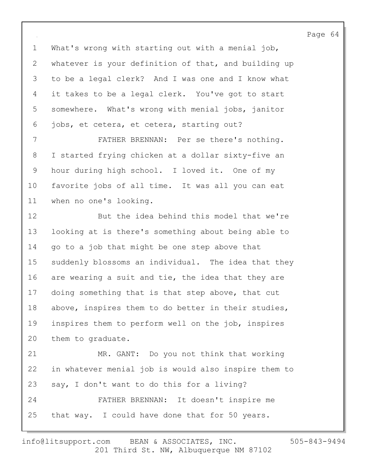1 What's wrong with starting out with a menial job, 2 whatever is your definition of that, and building up 3 to be a legal clerk? And I was one and I know what 4 it takes to be a legal clerk. You've got to start 5 somewhere. What's wrong with menial jobs, janitor 6 jobs, et cetera, et cetera, starting out?

7 FATHER BRENNAN: Per se there's nothing. 8 I started frying chicken at a dollar sixty-five an 9 hour during high school. I loved it. One of my 10 favorite jobs of all time. It was all you can eat 11 when no one's looking.

12 But the idea behind this model that we're 13 looking at is there's something about being able to 14 go to a job that might be one step above that 15 suddenly blossoms an individual. The idea that they 16 are wearing a suit and tie, the idea that they are 17 doing something that is that step above, that cut 18 above, inspires them to do better in their studies, 19 inspires them to perform well on the job, inspires 20 them to graduate. 21 MR. GANT: Do you not think that working

22 in whatever menial job is would also inspire them to 23 say, I don't want to do this for a living? 24 FATHER BRENNAN: It doesn't inspire me 25 that way. I could have done that for 50 years.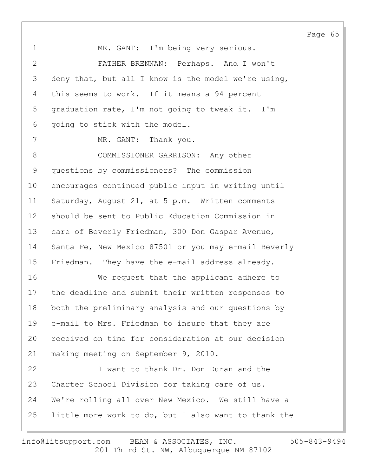Page 65 1 MR. GANT: I'm being very serious. 2 FATHER BRENNAN: Perhaps. And I won't 3 deny that, but all I know is the model we're using, 4 this seems to work. If it means a 94 percent 5 graduation rate, I'm not going to tweak it. I'm 6 going to stick with the model. 7 MR. GANT: Thank you. 8 COMMISSIONER GARRISON: Any other 9 questions by commissioners? The commission 10 encourages continued public input in writing until 11 Saturday, August 21, at 5 p.m. Written comments 12 should be sent to Public Education Commission in 13 care of Beverly Friedman, 300 Don Gaspar Avenue, 14 Santa Fe, New Mexico 87501 or you may e-mail Beverly 15 Friedman. They have the e-mail address already. 16 We request that the applicant adhere to 17 the deadline and submit their written responses to 18 both the preliminary analysis and our questions by 19 e-mail to Mrs. Friedman to insure that they are 20 received on time for consideration at our decision 21 making meeting on September 9, 2010. 22 I want to thank Dr. Don Duran and the 23 Charter School Division for taking care of us. 24 We're rolling all over New Mexico. We still have a 25 little more work to do, but I also want to thank the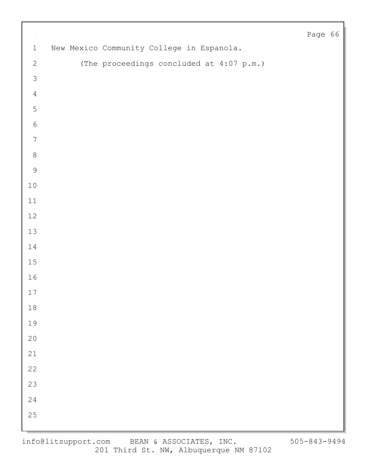| $\sim$           |  |                                           |  |  | Page 66 |  |
|------------------|--|-------------------------------------------|--|--|---------|--|
| $\mathbf 1$      |  | New Mexico Community College in Espanola. |  |  |         |  |
| $\mathbf{2}$     |  | (The proceedings concluded at 4:07 p.m.)  |  |  |         |  |
| $\mathfrak{Z}$   |  |                                           |  |  |         |  |
| $\sqrt{4}$       |  |                                           |  |  |         |  |
| 5                |  |                                           |  |  |         |  |
| $\sqrt{6}$       |  |                                           |  |  |         |  |
| $\boldsymbol{7}$ |  |                                           |  |  |         |  |
| $\,8\,$          |  |                                           |  |  |         |  |
| $\mathcal{G}$    |  |                                           |  |  |         |  |
| $10\,$           |  |                                           |  |  |         |  |
| $11\,$           |  |                                           |  |  |         |  |
| $12$             |  |                                           |  |  |         |  |
| $13$             |  |                                           |  |  |         |  |
| $14\,$           |  |                                           |  |  |         |  |
| 15               |  |                                           |  |  |         |  |
| 16               |  |                                           |  |  |         |  |
| $17$             |  |                                           |  |  |         |  |
| $18\,$           |  |                                           |  |  |         |  |
| 19               |  |                                           |  |  |         |  |
| 20               |  |                                           |  |  |         |  |
| $21$             |  |                                           |  |  |         |  |
| 22               |  |                                           |  |  |         |  |
| 23               |  |                                           |  |  |         |  |
| 24               |  |                                           |  |  |         |  |
| 25               |  |                                           |  |  |         |  |
|                  |  |                                           |  |  |         |  |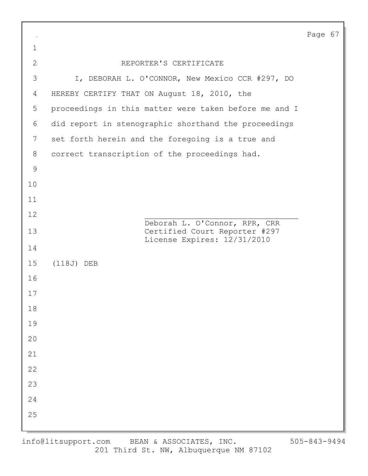| $\sim$        |                                                              | Page 67 |  |
|---------------|--------------------------------------------------------------|---------|--|
| $\mathbf 1$   |                                                              |         |  |
| $\mathbf{2}$  | REPORTER'S CERTIFICATE                                       |         |  |
| 3             | I, DEBORAH L. O'CONNOR, New Mexico CCR #297, DO              |         |  |
| 4             | HEREBY CERTIFY THAT ON August 18, 2010, the                  |         |  |
| 5             | proceedings in this matter were taken before me and I        |         |  |
| 6             | did report in stenographic shorthand the proceedings         |         |  |
| 7             | set forth herein and the foregoing is a true and             |         |  |
| 8             | correct transcription of the proceedings had.                |         |  |
| $\mathcal{G}$ |                                                              |         |  |
| 10            |                                                              |         |  |
| 11            |                                                              |         |  |
| 12            | Deborah L. O'Connor, RPR, CRR                                |         |  |
| 13            | Certified Court Reporter #297<br>License Expires: 12/31/2010 |         |  |
| 14            |                                                              |         |  |
| 15            | $(118J)$ DEB                                                 |         |  |
| 16            |                                                              |         |  |
| 17            |                                                              |         |  |
| $18\,$        |                                                              |         |  |
| 19            |                                                              |         |  |
| $20$          |                                                              |         |  |
| 21            |                                                              |         |  |
| 22            |                                                              |         |  |
| 23            |                                                              |         |  |
| 24            |                                                              |         |  |
| 25            |                                                              |         |  |
|               |                                                              |         |  |

 $\Gamma$